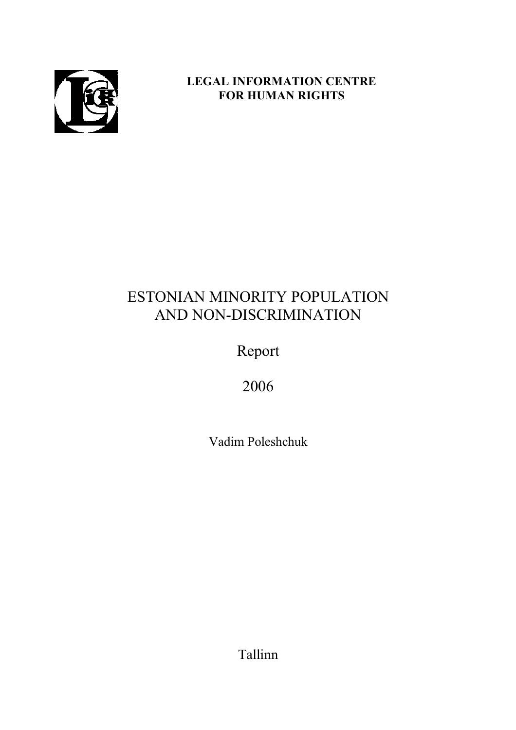

## **LEGAL INFORMATION CENTRE FOR HUMAN RIGHTS**

# ESTONIAN MINORITY POPULATION AND NON-DISCRIMINATION

Report

2006

Vadim Poleshchuk

Tallinn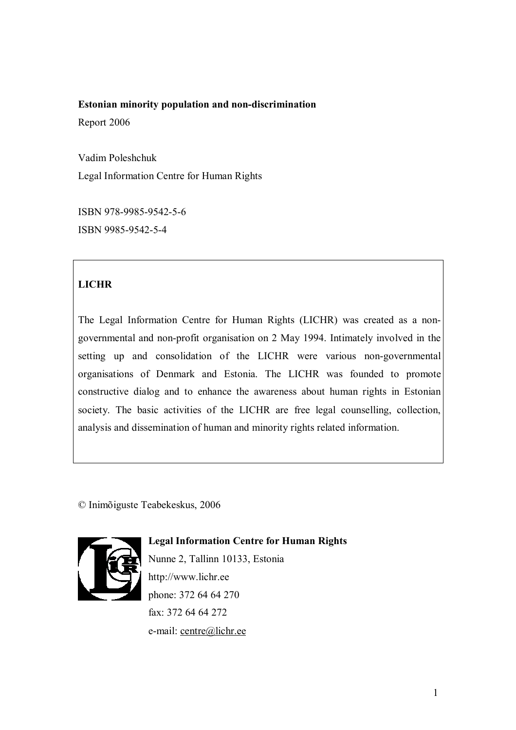# **Estonian minority population and non-discrimination**

Report 2006

Vadim Poleshchuk Legal Information Centre for Human Rights

ISBN 978-9985-9542-5-6 ISBN 9985-9542-5-4

## **LICHR**

The Legal Information Centre for Human Rights (LICHR) was created as a nongovernmental and non-profit organisation on 2 May 1994. Intimately involved in the setting up and consolidation of the LICHR were various non-governmental organisations of Denmark and Estonia. The LICHR was founded to promote constructive dialog and to enhance the awareness about human rights in Estonian society. The basic activities of the LICHR are free legal counselling, collection, analysis and dissemination of human and minority rights related information.

© Inimõiguste Teabekeskus, 2006



**Legal Information Centre for Human Rights**  Nunne 2, Tallinn 10133, Estonia http://www.lichr.ee phone: 372 64 64 270 fax: 372 64 64 272 e-mail: centre@lichr.ee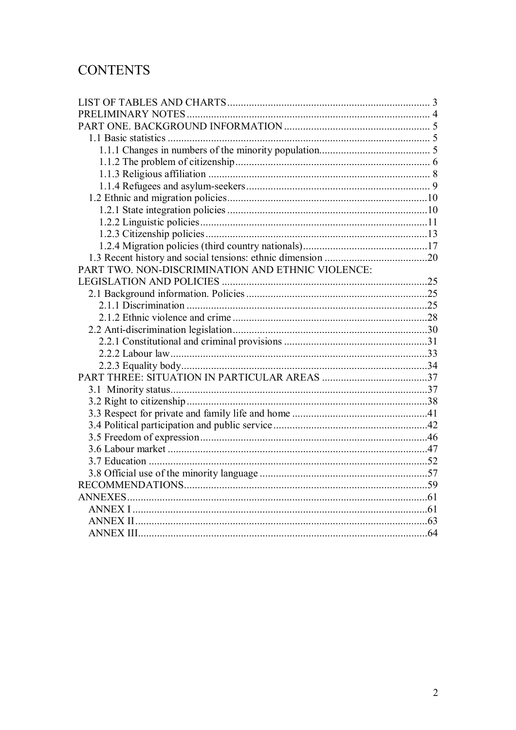# **CONTENTS**

| PART TWO. NON-DISCRIMINATION AND ETHNIC VIOLENCE: |  |
|---------------------------------------------------|--|
|                                                   |  |
|                                                   |  |
|                                                   |  |
|                                                   |  |
|                                                   |  |
|                                                   |  |
|                                                   |  |
|                                                   |  |
|                                                   |  |
|                                                   |  |
|                                                   |  |
|                                                   |  |
|                                                   |  |
|                                                   |  |
|                                                   |  |
|                                                   |  |
|                                                   |  |
|                                                   |  |
|                                                   |  |
|                                                   |  |
|                                                   |  |
|                                                   |  |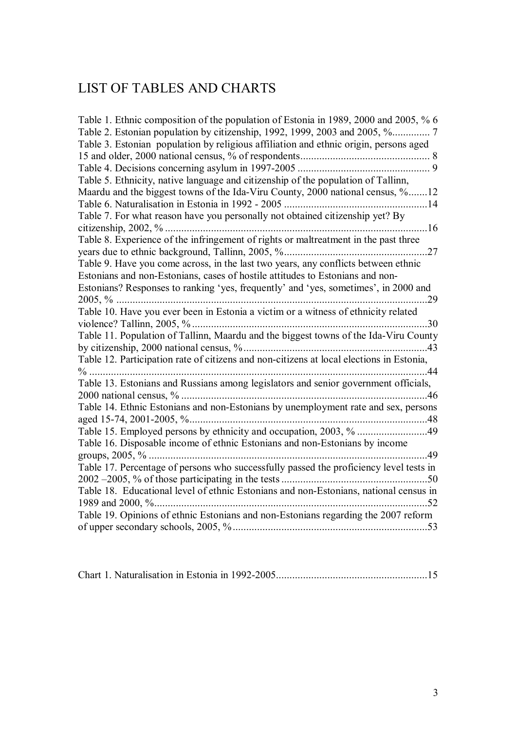# LIST OF TABLES AND CHARTS

| Table 1. Ethnic composition of the population of Estonia in 1989, 2000 and 2005, % 6     |
|------------------------------------------------------------------------------------------|
|                                                                                          |
| Table 3. Estonian population by religious affiliation and ethnic origin, persons aged    |
|                                                                                          |
|                                                                                          |
| Table 5. Ethnicity, native language and citizenship of the population of Tallinn,        |
| Maardu and the biggest towns of the Ida-Viru County, 2000 national census, %12           |
|                                                                                          |
| Table 7. For what reason have you personally not obtained citizenship yet? By            |
|                                                                                          |
| Table 8. Experience of the infringement of rights or maltreatment in the past three      |
|                                                                                          |
| Table 9. Have you come across, in the last two years, any conflicts between ethnic       |
| Estonians and non-Estonians, cases of hostile attitudes to Estonians and non-            |
| Estonians? Responses to ranking 'yes, frequently' and 'yes, sometimes', in 2000 and      |
| .29                                                                                      |
| Table 10. Have you ever been in Estonia a victim or a witness of ethnicity related       |
| 30                                                                                       |
| Table 11. Population of Tallinn, Maardu and the biggest towns of the Ida-Viru County     |
|                                                                                          |
| Table 12. Participation rate of citizens and non-citizens at local elections in Estonia, |
|                                                                                          |
| Table 13. Estonians and Russians among legislators and senior government officials,      |
|                                                                                          |
| Table 14. Ethnic Estonians and non-Estonians by unemployment rate and sex, persons       |
|                                                                                          |
|                                                                                          |
| Table 16. Disposable income of ethnic Estonians and non-Estonians by income              |
| groups, $2005, \%$<br>$\dots$ 49                                                         |
| Table 17. Percentage of persons who successfully passed the proficiency level tests in   |
| .50                                                                                      |
| Table 18. Educational level of ethnic Estonians and non-Estonians, national census in    |
| 52                                                                                       |
| Table 19. Opinions of ethnic Estonians and non-Estonians regarding the 2007 reform       |
|                                                                                          |

|--|--|--|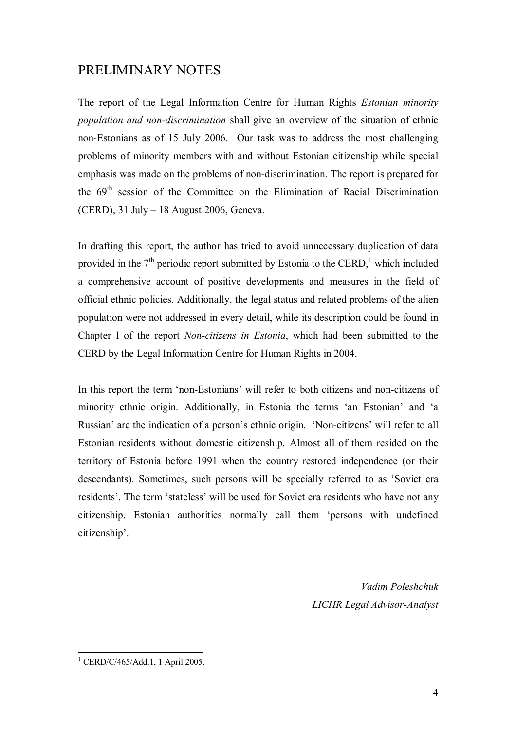## PRELIMINARY NOTES

The report of the Legal Information Centre for Human Rights *Estonian minority population and non-discrimination* shall give an overview of the situation of ethnic non-Estonians as of 15 July 2006. Our task was to address the most challenging problems of minority members with and without Estonian citizenship while special emphasis was made on the problems of non-discrimination. The report is prepared for the  $69<sup>th</sup>$  session of the Committee on the Elimination of Racial Discrimination (CERD), 31 July – 18 August 2006, Geneva.

In drafting this report, the author has tried to avoid unnecessary duplication of data provided in the  $7<sup>th</sup>$  periodic report submitted by Estonia to the CERD,<sup>1</sup> which included a comprehensive account of positive developments and measures in the field of official ethnic policies. Additionally, the legal status and related problems of the alien population were not addressed in every detail, while its description could be found in Chapter I of the report *Non-citizens in Estonia*, which had been submitted to the CERD by the Legal Information Centre for Human Rights in 2004.

In this report the term 'non-Estonians' will refer to both citizens and non-citizens of minority ethnic origin. Additionally, in Estonia the terms 'an Estonian' and 'a Russian' are the indication of a person's ethnic origin. 'Non-citizens' will refer to all Estonian residents without domestic citizenship. Almost all of them resided on the territory of Estonia before 1991 when the country restored independence (or their descendants). Sometimes, such persons will be specially referred to as 'Soviet era residents'. The term 'stateless' will be used for Soviet era residents who have not any citizenship. Estonian authorities normally call them 'persons with undefined citizenship'.

> *Vadim Poleshchuk LICHR Legal Advisor-Analyst*

 $\overline{a}$ 1 CERD/C/465/Add.1, 1 April 2005.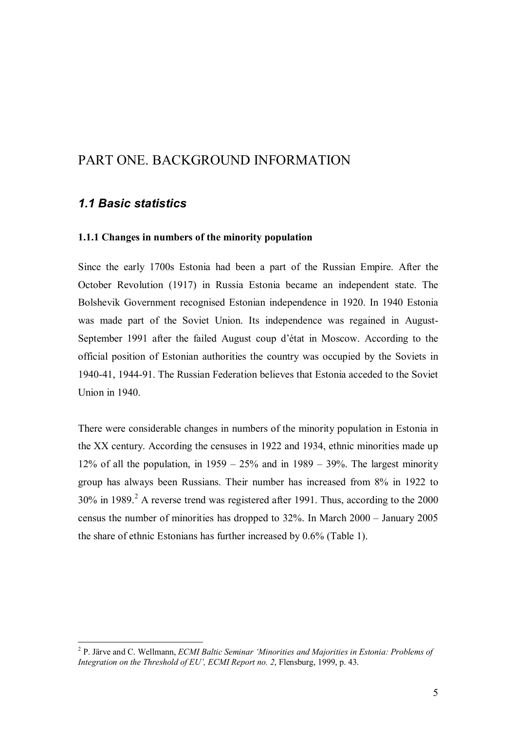# PART ONE. BACKGROUND INFORMATION

## *1.1 Basic statistics*

 $\overline{a}$ 

#### **1.1.1 Changes in numbers of the minority population**

Since the early 1700s Estonia had been a part of the Russian Empire. After the October Revolution (1917) in Russia Estonia became an independent state. The Bolshevik Government recognised Estonian independence in 1920. In 1940 Estonia was made part of the Soviet Union. Its independence was regained in August-September 1991 after the failed August coup d'état in Moscow. According to the official position of Estonian authorities the country was occupied by the Soviets in 1940-41, 1944-91. The Russian Federation believes that Estonia acceded to the Soviet Union in 1940.

There were considerable changes in numbers of the minority population in Estonia in the XX century. According the censuses in 1922 and 1934, ethnic minorities made up 12% of all the population, in  $1959 - 25%$  and in  $1989 - 39%$ . The largest minority group has always been Russians. Their number has increased from 8% in 1922 to  $30\%$  in 1989.<sup>2</sup> A reverse trend was registered after 1991. Thus, according to the  $2000$ census the number of minorities has dropped to 32%. In March 2000 – January 2005 the share of ethnic Estonians has further increased by 0.6% (Table 1).

<sup>2</sup> P. Järve and C. Wellmann, *ECMI Baltic Seminar 'Minorities and Majorities in Estonia: Problems of Integration on the Threshold of EU', ECMI Report no. 2*, Flensburg, 1999, p. 43.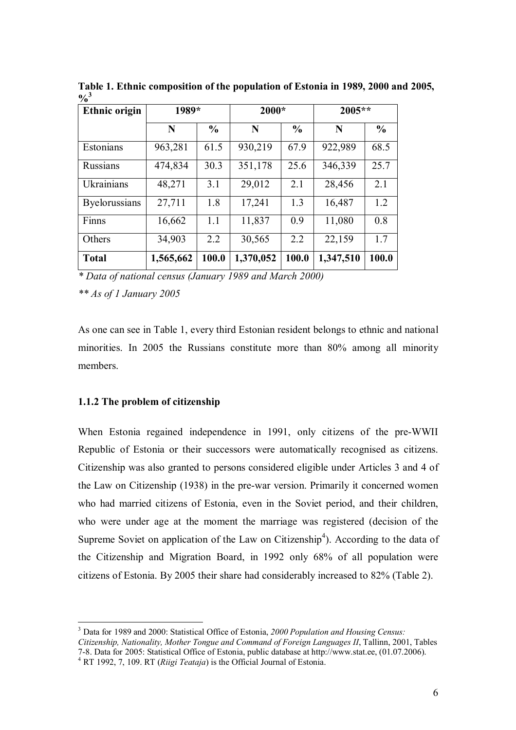| <b>Ethnic origin</b> | 1989*     |               | 2000*     |               | 2005**    |               |  |
|----------------------|-----------|---------------|-----------|---------------|-----------|---------------|--|
|                      | N         | $\frac{0}{0}$ | N         | $\frac{0}{0}$ | N         | $\frac{6}{6}$ |  |
| Estonians            | 963,281   | 61.5          | 930,219   | 67.9          | 922,989   | 68.5          |  |
| Russians             | 474,834   | 30.3          | 351,178   | 25.6          | 346,339   | 25.7          |  |
| Ukrainians           | 48,271    | 3.1           | 29,012    | 2.1           | 28,456    | 2.1           |  |
| <b>Byelorussians</b> | 27,711    | 1.8           | 17,241    | 1.3           | 16,487    | 1.2           |  |
| Finns                | 16,662    | 1.1           | 11,837    | 0.9           | 11,080    | 0.8           |  |
| Others               | 34,903    | 2.2           | 30,565    | 2.2           | 22,159    | 1.7           |  |
| <b>Total</b>         | 1,565,662 | 100.0         | 1,370,052 | 100.0         | 1,347,510 | 100.0         |  |

**Table 1. Ethnic composition of the population of Estonia in 1989, 2000 and 2005,**   $0/3$ 

*\* Data of national census (January 1989 and March 2000)* 

*\*\* As of 1 January 2005* 

As one can see in Table 1, every third Estonian resident belongs to ethnic and national minorities. In 2005 the Russians constitute more than 80% among all minority members.

#### **1.1.2 The problem of citizenship**

 $\overline{a}$ 

When Estonia regained independence in 1991, only citizens of the pre-WWII Republic of Estonia or their successors were automatically recognised as citizens. Citizenship was also granted to persons considered eligible under Articles 3 and 4 of the Law on Citizenship (1938) in the pre-war version. Primarily it concerned women who had married citizens of Estonia, even in the Soviet period, and their children, who were under age at the moment the marriage was registered (decision of the Supreme Soviet on application of the Law on Citizenship<sup>4</sup>). According to the data of the Citizenship and Migration Board, in 1992 only 68% of all population were citizens of Estonia. By 2005 their share had considerably increased to 82% (Table 2).

<sup>3</sup> Data for 1989 and 2000: Statistical Office of Estonia, *2000 Population and Housing Census: Citizenship, Nationality, Mother Tongue and Command of Foreign Languages II*, Tallinn, 2001, Tables 7-8. Data for 2005: Statistical Office of Estonia, public database at http://www.stat.ee, (01.07.2006). 4

RT 1992, 7, 109. RT (*Riigi Teataja*) is the Official Journal of Estonia.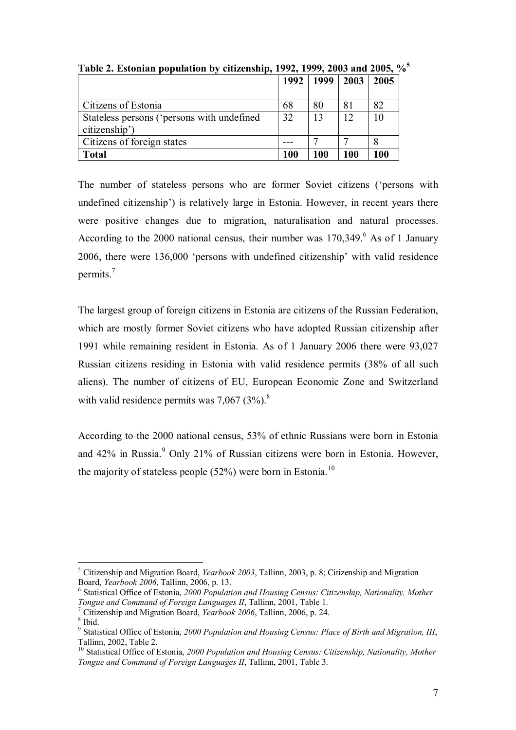|                                                             | 1992 | 1999 | 2003 | 2005 |
|-------------------------------------------------------------|------|------|------|------|
| Citizens of Estonia                                         | 68   | 80   | 81   | 82   |
| Stateless persons ('persons with undefined<br>citizenship') | 32   | 13   | 12   | 10   |
| Citizens of foreign states                                  |      |      |      |      |
| <b>Total</b>                                                | 100  | 100  | 100  | 100  |

**Table 2. Estonian population by citizenship, 1992, 1999, 2003 and 2005, %5**

The number of stateless persons who are former Soviet citizens ('persons with undefined citizenship') is relatively large in Estonia. However, in recent years there were positive changes due to migration, naturalisation and natural processes. According to the 2000 national census, their number was  $170,349$ . As of 1 January 2006, there were 136,000 'persons with undefined citizenship' with valid residence permits.<sup>7</sup>

The largest group of foreign citizens in Estonia are citizens of the Russian Federation, which are mostly former Soviet citizens who have adopted Russian citizenship after 1991 while remaining resident in Estonia. As of 1 January 2006 there were 93,027 Russian citizens residing in Estonia with valid residence permits (38% of all such aliens). The number of citizens of EU, European Economic Zone and Switzerland with valid residence permits was  $7,067$   $(3\%)$ .<sup>8</sup>

According to the 2000 national census, 53% of ethnic Russians were born in Estonia and 42% in Russia.<sup>9</sup> Only 21% of Russian citizens were born in Estonia. However, the majority of stateless people  $(52\%)$  were born in Estonia.<sup>10</sup>

 $\overline{a}$ 5 Citizenship and Migration Board, *Yearbook 2003*, Tallinn, 2003, p. 8; Citizenship and Migration Board, *Yearbook 2006*, Tallinn, 2006, p. 13. 6

Statistical Office of Estonia, *2000 Population and Housing Census: Citizenship, Nationality, Mother Tongue and Command of Foreign Languages II*, Tallinn, 2001, Table 1.

Citizenship and Migration Board, *Yearbook 2006*, Tallinn, 2006, p. 24. 8

<sup>&</sup>lt;sup>8</sup> Ibid.

<sup>9</sup> Statistical Office of Estonia, *2000 Population and Housing Census: Place of Birth and Migration, III*, Tallinn, 2002, Table 2.

<sup>&</sup>lt;sup>10</sup> Statistical Office of Estonia, 2000 Population and Housing Census: Citizenship, Nationality, Mother *Tongue and Command of Foreign Languages II*, Tallinn, 2001, Table 3.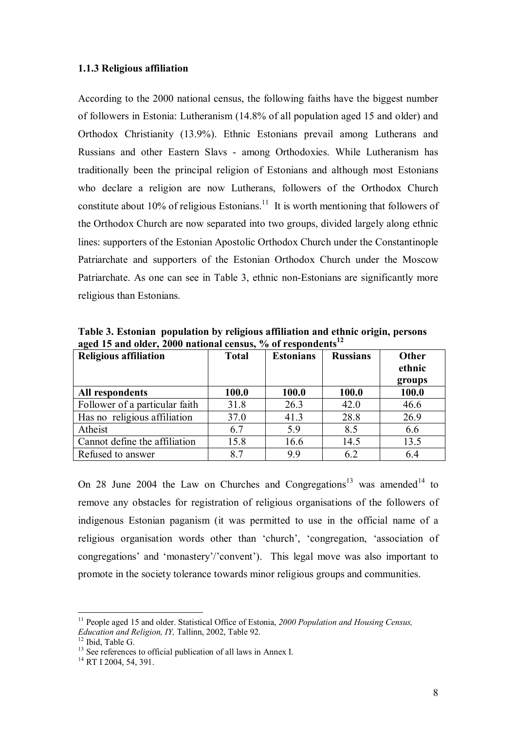#### **1.1.3 Religious affiliation**

According to the 2000 national census, the following faiths have the biggest number of followers in Estonia: Lutheranism (14.8% of all population aged 15 and older) and Orthodox Christianity (13.9%). Ethnic Estonians prevail among Lutherans and Russians and other Eastern Slavs - among Orthodoxies. While Lutheranism has traditionally been the principal religion of Estonians and although most Estonians who declare a religion are now Lutherans, followers of the Orthodox Church constitute about 10% of religious Estonians.<sup>11</sup> It is worth mentioning that followers of the Orthodox Church are now separated into two groups, divided largely along ethnic lines: supporters of the Estonian Apostolic Orthodox Church under the Constantinople Patriarchate and supporters of the Estonian Orthodox Church under the Moscow Patriarchate. As one can see in Table 3, ethnic non-Estonians are significantly more religious than Estonians.

**Table 3. Estonian population by religious affiliation and ethnic origin, persons**  aged 15 and older, 2000 national census, % of respondents<sup>12</sup>

| <b>Religious affiliation</b>   | <b>Total</b> | <b>Estonians</b> | <b>Russians</b> | <b>Other</b><br>ethnic<br>groups |
|--------------------------------|--------------|------------------|-----------------|----------------------------------|
| All respondents                | 100.0        | 100.0            | 100.0           | 100.0                            |
| Follower of a particular faith | 31.8         | 26.3             | 42.0            | 46.6                             |
| Has no religious affiliation   | 37.0         | 41.3             | 28.8            | 26.9                             |
| Atheist                        | 6.7          | 5.9              | 8.5             | 6.6                              |
| Cannot define the affiliation  | 15.8         | 16.6             | 14.5            | 13.5                             |
| Refused to answer              | 8.7          | 9.9              | 6.2             | 6.4                              |

On 28 June 2004 the Law on Churches and Congregations<sup>13</sup> was amended<sup>14</sup> to remove any obstacles for registration of religious organisations of the followers of indigenous Estonian paganism (it was permitted to use in the official name of a religious organisation words other than 'church', 'congregation, 'association of congregations' and 'monastery'/'convent'). This legal move was also important to promote in the society tolerance towards minor religious groups and communities.

<sup>11</sup> People aged 15 and older. Statistical Office of Estonia, *2000 Population and Housing Census, Education and Religion, IY, Tallinn, 2002, Table 92.* <sup>12</sup> Ibid. Table G.

<sup>&</sup>lt;sup>13</sup> See references to official publication of all laws in Annex I.

<sup>&</sup>lt;sup>14</sup> RT I 2004, 54, 391.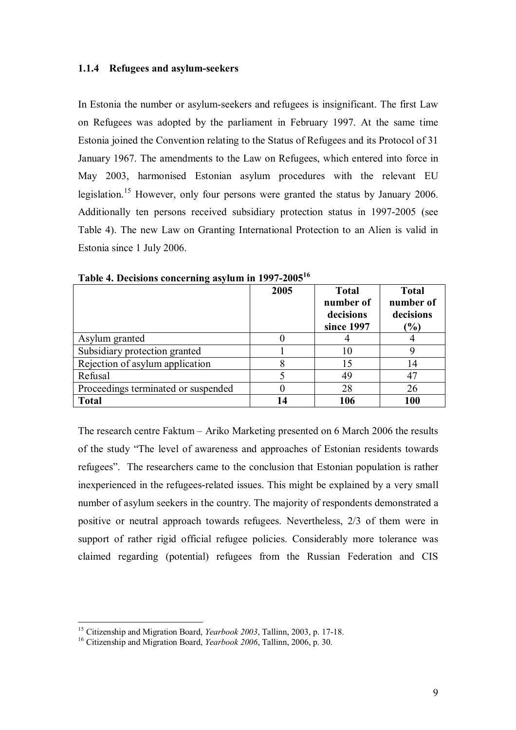#### **1.1.4 Refugees and asylum-seekers**

In Estonia the number or asylum-seekers and refugees is insignificant. The first Law on Refugees was adopted by the parliament in February 1997. At the same time Estonia joined the Convention relating to the Status of Refugees and its Protocol of 31 January 1967. The amendments to the Law on Refugees, which entered into force in May 2003, harmonised Estonian asylum procedures with the relevant EU legislation.<sup>15</sup> However, only four persons were granted the status by January 2006. Additionally ten persons received subsidiary protection status in 1997-2005 (see Table 4). The new Law on Granting International Protection to an Alien is valid in Estonia since 1 July 2006.

|                                     | 2005 | <b>Total</b><br>number of<br>decisions<br>since 1997 | <b>Total</b><br>number of<br>decisions<br>$\left( \frac{9}{0} \right)$ |
|-------------------------------------|------|------------------------------------------------------|------------------------------------------------------------------------|
| Asylum granted                      |      |                                                      |                                                                        |
| Subsidiary protection granted       |      | 10                                                   |                                                                        |
| Rejection of asylum application     |      | 15                                                   | 14                                                                     |
| Refusal                             |      | 49                                                   | 47                                                                     |
| Proceedings terminated or suspended |      | 28                                                   | 26                                                                     |
| <b>Total</b>                        | 14   | 106                                                  | 100                                                                    |

**Table 4. Decisions concerning asylum in 1997-2005<sup>16</sup>**

The research centre Faktum – Ariko Marketing presented on 6 March 2006 the results of the study "The level of awareness and approaches of Estonian residents towards refugees". The researchers came to the conclusion that Estonian population is rather inexperienced in the refugees-related issues. This might be explained by a very small number of asylum seekers in the country. The majority of respondents demonstrated a positive or neutral approach towards refugees. Nevertheless, 2/3 of them were in support of rather rigid official refugee policies. Considerably more tolerance was claimed regarding (potential) refugees from the Russian Federation and CIS

<sup>&</sup>lt;sup>15</sup> Citizenship and Migration Board, *Yearbook 2003*, Tallinn, 2003, p. 17-18.

<sup>&</sup>lt;sup>16</sup> Citizenship and Migration Board, *Yearbook 2006*, Tallinn, 2006, p. 30.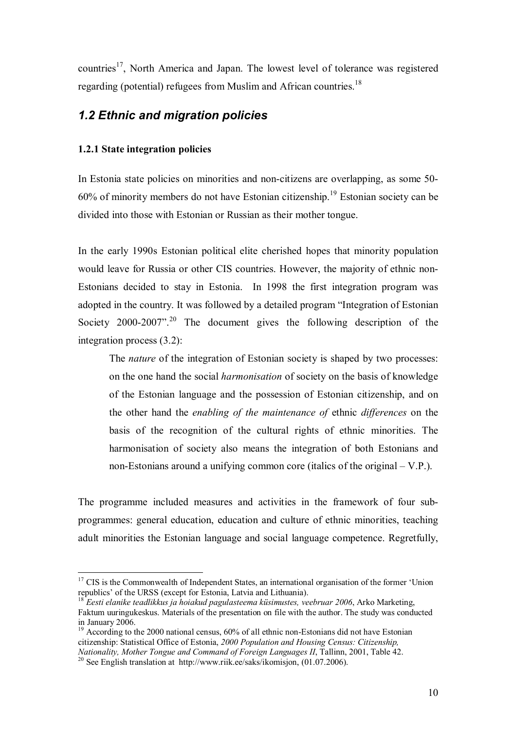countries<sup>17</sup>. North America and Japan. The lowest level of tolerance was registered regarding (potential) refugees from Muslim and African countries.<sup>18</sup>

### *1.2 Ethnic and migration policies*

#### **1.2.1 State integration policies**

 $\overline{a}$ 

In Estonia state policies on minorities and non-citizens are overlapping, as some 50- 60% of minority members do not have Estonian citizenship.19 Estonian society can be divided into those with Estonian or Russian as their mother tongue.

In the early 1990s Estonian political elite cherished hopes that minority population would leave for Russia or other CIS countries. However, the majority of ethnic non-Estonians decided to stay in Estonia. In 1998 the first integration program was adopted in the country. It was followed by a detailed program "Integration of Estonian Society 2000-2007".<sup>20</sup> The document gives the following description of the integration process (3.2):

The *nature* of the integration of Estonian society is shaped by two processes: on the one hand the social *harmonisation* of society on the basis of knowledge of the Estonian language and the possession of Estonian citizenship, and on the other hand the *enabling of the maintenance of* ethnic *differences* on the basis of the recognition of the cultural rights of ethnic minorities. The harmonisation of society also means the integration of both Estonians and non-Estonians around a unifying common core (italics of the original – V.P.).

The programme included measures and activities in the framework of four subprogrammes: general education, education and culture of ethnic minorities, teaching adult minorities the Estonian language and social language competence. Regretfully,

<sup>&</sup>lt;sup>17</sup> CIS is the Commonwealth of Independent States, an international organisation of the former 'Union republics' of the URSS (except for Estonia, Latvia and Lithuania).

<sup>18</sup> *Eesti elanike teadlikkus ja hoiakud pagulasteema küsimustes, veebruar 2006*, Arko Marketing, Faktum uuringukeskus. Materials of the presentation on file with the author. The study was conducted in January 2006.

<sup>&</sup>lt;sup>19</sup> According to the 2000 national census, 60% of all ethnic non-Estonians did not have Estonian citizenship: Statistical Office of Estonia, *2000 Population and Housing Census: Citizenship, Nationality, Mother Tongue and Command of Foreign Languages II*, Tallinn, 2001, Table 42.<br><sup>20</sup> See English translation at http://www.riik.ee/saks/ikomisjon, (01.07.2006).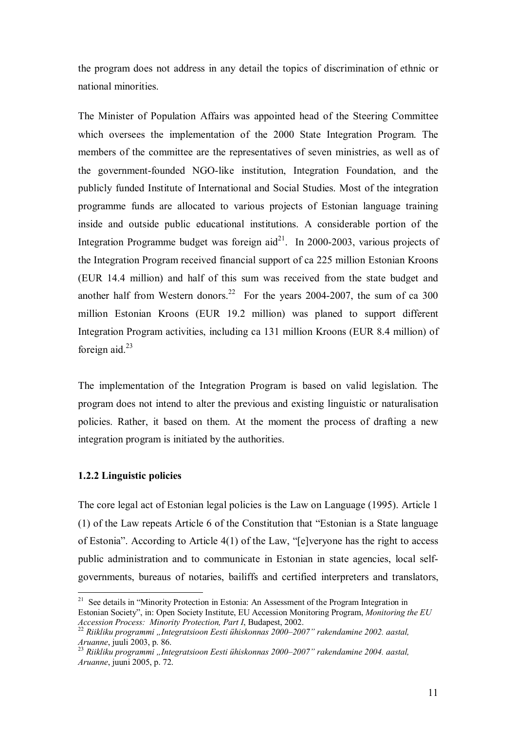the program does not address in any detail the topics of discrimination of ethnic or national minorities.

The Minister of Population Affairs was appointed head of the Steering Committee which oversees the implementation of the 2000 State Integration Program. The members of the committee are the representatives of seven ministries, as well as of the government-founded NGO-like institution, Integration Foundation, and the publicly funded Institute of International and Social Studies. Most of the integration programme funds are allocated to various projects of Estonian language training inside and outside public educational institutions. A considerable portion of the Integration Programme budget was foreign  $aid^{21}$ . In 2000-2003, various projects of the Integration Program received financial support of ca 225 million Estonian Kroons (EUR 14.4 million) and half of this sum was received from the state budget and another half from Western donors.<sup>22</sup> For the years 2004-2007, the sum of ca 300 million Estonian Kroons (EUR 19.2 million) was planed to support different Integration Program activities, including ca 131 million Kroons (EUR 8.4 million) of foreign aid. $^{23}$ 

The implementation of the Integration Program is based on valid legislation. The program does not intend to alter the previous and existing linguistic or naturalisation policies. Rather, it based on them. At the moment the process of drafting a new integration program is initiated by the authorities.

#### **1.2.2 Linguistic policies**

 $\overline{a}$ 

The core legal act of Estonian legal policies is the Law on Language (1995). Article 1 (1) of the Law repeats Article 6 of the Constitution that "Estonian is a State language of Estonia". According to Article 4(1) of the Law, "[e]veryone has the right to access public administration and to communicate in Estonian in state agencies, local selfgovernments, bureaus of notaries, bailiffs and certified interpreters and translators,

<sup>&</sup>lt;sup>21</sup> See details in "Minority Protection in Estonia: An Assessment of the Program Integration in Estonian Society", in: Open Society Institute, EU Accession Monitoring Program, *Monitoring the EU* 

<sup>&</sup>lt;sup>22</sup> Riikliku programmi "Integratsioon Eesti ühiskonnas 2000–2007" rakendamine 2002. aastal, *Aruanne*. juuli 2003. p. 86.

<sup>&</sup>lt;sup>23</sup> Riikliku programmi "Integratsioon Eesti ühiskonnas 2000–2007" rakendamine 2004. aastal, *Aruanne*, juuni 2005, p. 72.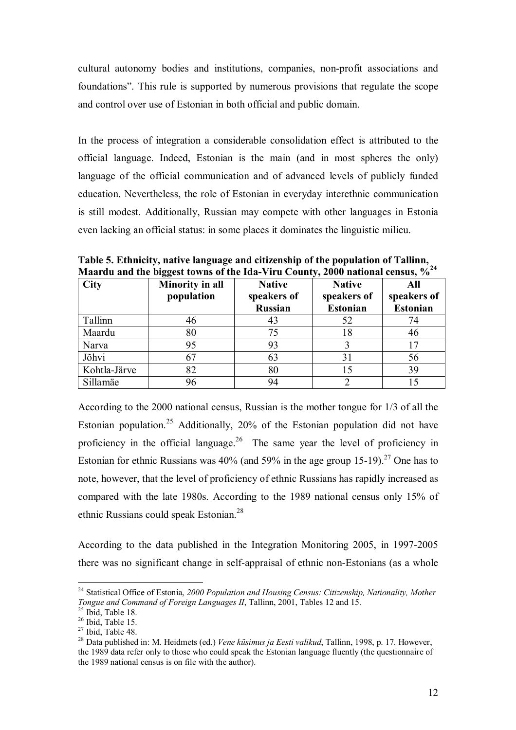cultural autonomy bodies and institutions, companies, non-profit associations and foundations". This rule is supported by numerous provisions that regulate the scope and control over use of Estonian in both official and public domain.

In the process of integration a considerable consolidation effect is attributed to the official language. Indeed, Estonian is the main (and in most spheres the only) language of the official communication and of advanced levels of publicly funded education. Nevertheless, the role of Estonian in everyday interethnic communication is still modest. Additionally, Russian may compete with other languages in Estonia even lacking an official status: in some places it dominates the linguistic milieu.

**Table 5. Ethnicity, native language and citizenship of the population of Tallinn, Maardu and the biggest towns of the Ida-Viru County, 2000 national census, %24** 

| <b>City</b>  | Minority in all | <b>Native</b>  | <b>Native</b>   | All             |
|--------------|-----------------|----------------|-----------------|-----------------|
|              | population      | speakers of    | speakers of     | speakers of     |
|              |                 | <b>Russian</b> | <b>Estonian</b> | <b>Estonian</b> |
| Tallinn      | 46              | 43             | 52              | 74              |
| Maardu       | 80              | 75             | 18              | 46              |
| Narva        | 95              | 93             |                 | 17              |
| Jõhvi        | 67              | 63             | 31              | 56              |
| Kohtla-Järve | 82              | 80             |                 | 39              |
| Sillamäe     |                 | 94             |                 |                 |

According to the 2000 national census, Russian is the mother tongue for 1/3 of all the Estonian population.<sup>25</sup> Additionally, 20% of the Estonian population did not have proficiency in the official language.<sup>26</sup> The same year the level of proficiency in Estonian for ethnic Russians was  $40\%$  (and  $59\%$  in the age group 15-19).<sup>27</sup> One has to note, however, that the level of proficiency of ethnic Russians has rapidly increased as compared with the late 1980s. According to the 1989 national census only 15% of ethnic Russians could speak Estonian.<sup>28</sup>

According to the data published in the Integration Monitoring 2005, in 1997-2005 there was no significant change in self-appraisal of ethnic non-Estonians (as a whole

<sup>24</sup> Statistical Office of Estonia, *2000 Population and Housing Census: Citizenship, Nationality, Mother Tongue and Command of Foreign Languages II*, Tallinn, 2001, Tables 12 and 15. <sup>25</sup> Ibid, Table 18.

 $26$  Ibid, Table 15.

 $27$  Ibid, Table 48.

<sup>28</sup> Data published in: M. Heidmets (ed.) *Vene küsimus ja Eesti valikud*, Tallinn, 1998, p. 17. However, the 1989 data refer only to those who could speak the Estonian language fluently (the questionnaire of the 1989 national census is on file with the author).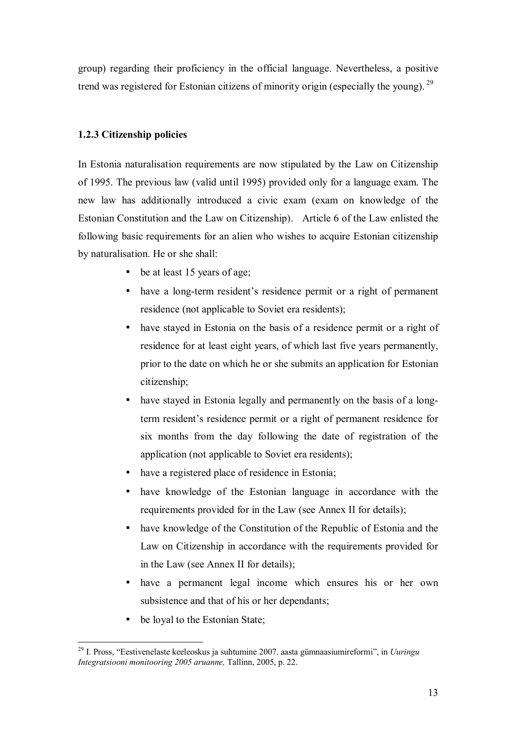group) regarding their proficiency in the official language. Nevertheless, a positive trend was registered for Estonian citizens of minority origin (especially the young).<sup>29</sup>

#### **1.2.3 Citizenship policies**

In Estonia naturalisation requirements are now stipulated by the Law on Citizenship of 1995. The previous law (valid until 1995) provided only for a language exam. The new law has additionally introduced a civic exam (exam on knowledge of the Estonian Constitution and the Law on Citizenship). Article 6 of the Law enlisted the following basic requirements for an alien who wishes to acquire Estonian citizenship by naturalisation. He or she shall:

- be at least 15 years of age;
- have a long-term resident's residence permit or a right of permanent residence (not applicable to Soviet era residents);
- have stayed in Estonia on the basis of a residence permit or a right of residence for at least eight years, of which last five years permanently, prior to the date on which he or she submits an application for Estonian citizenship;
- have stayed in Estonia legally and permanently on the basis of a longterm resident's residence permit or a right of permanent residence for six months from the day following the date of registration of the application (not applicable to Soviet era residents);
- have a registered place of residence in Estonia;
- have knowledge of the Estonian language in accordance with the requirements provided for in the Law (see Annex II for details);
- have knowledge of the Constitution of the Republic of Estonia and the Law on Citizenship in accordance with the requirements provided for in the Law (see Annex II for details);
- have a permanent legal income which ensures his or her own subsistence and that of his or her dependants;
- be loyal to the Estonian State;

<sup>29</sup> I. Pross, "Eestivenelaste keeleoskus ja suhtumine 2007. aasta gümnaasiumireformi", in *Uuringu Integratsiooni monitooring 2005 aruanne,* Tallinn, 2005, p. 22.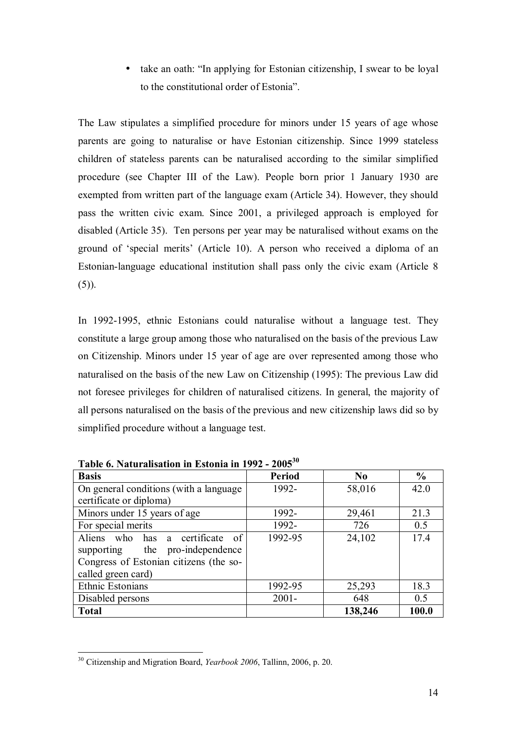• take an oath: "In applying for Estonian citizenship, I swear to be loyal to the constitutional order of Estonia".

The Law stipulates a simplified procedure for minors under 15 years of age whose parents are going to naturalise or have Estonian citizenship. Since 1999 stateless children of stateless parents can be naturalised according to the similar simplified procedure (see Chapter III of the Law). People born prior 1 January 1930 are exempted from written part of the language exam (Article 34). However, they should pass the written civic exam. Since 2001, a privileged approach is employed for disabled (Article 35). Ten persons per year may be naturalised without exams on the ground of 'special merits' (Article 10). A person who received a diploma of an Estonian-language educational institution shall pass only the civic exam (Article 8  $(5)$ ).

In 1992-1995, ethnic Estonians could naturalise without a language test. They constitute a large group among those who naturalised on the basis of the previous Law on Citizenship. Minors under 15 year of age are over represented among those who naturalised on the basis of the new Law on Citizenship (1995): The previous Law did not foresee privileges for children of naturalised citizens. In general, the majority of all persons naturalised on the basis of the previous and new citizenship laws did so by simplified procedure without a language test.

| <b>Basis</b>                            | <b>Period</b> | $\bf No$ | $\frac{0}{0}$ |
|-----------------------------------------|---------------|----------|---------------|
| On general conditions (with a language) | 1992-         | 58,016   | 42.0          |
| certificate or diploma)                 |               |          |               |
| Minors under 15 years of age            | 1992-         | 29,461   | 21.3          |
| For special merits                      | 1992-         | 726      | 0.5           |
| Aliens who has a certificate<br>of      | 1992-95       | 24,102   | 17.4          |
| supporting the pro-independence         |               |          |               |
| Congress of Estonian citizens (the so-  |               |          |               |
| called green card)                      |               |          |               |
| Ethnic Estonians                        | 1992-95       | 25,293   | 18.3          |
| Disabled persons                        | $2001 -$      | 648      | 0.5           |
| <b>Total</b>                            |               | 138,246  | 100.0         |

**Table 6. Naturalisation in Estonia in 1992 - 2005<sup>30</sup>**

<sup>30</sup> Citizenship and Migration Board, *Yearbook 2006*, Tallinn, 2006, p. 20.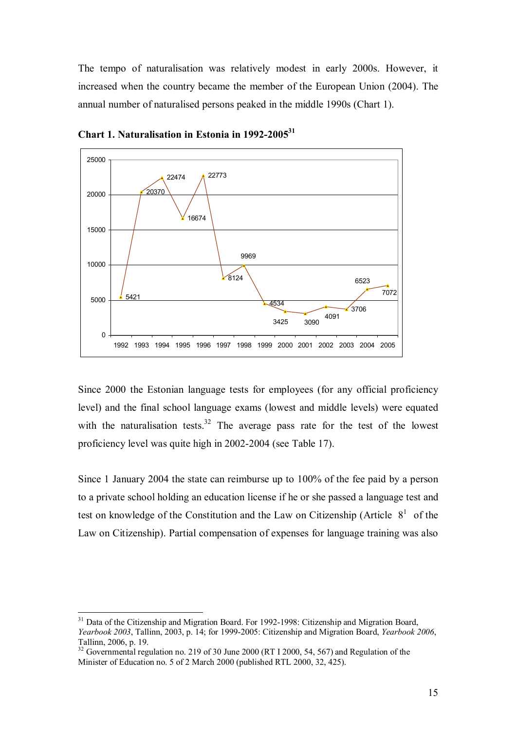The tempo of naturalisation was relatively modest in early 2000s. However, it increased when the country became the member of the European Union (2004). The annual number of naturalised persons peaked in the middle 1990s (Chart 1).



**Chart 1. Naturalisation in Estonia in 1992-200531**

Since 2000 the Estonian language tests for employees (for any official proficiency level) and the final school language exams (lowest and middle levels) were equated with the naturalisation tests.<sup>32</sup> The average pass rate for the test of the lowest proficiency level was quite high in 2002-2004 (see Table 17).

Since 1 January 2004 the state can reimburse up to 100% of the fee paid by a person to a private school holding an education license if he or she passed a language test and test on knowledge of the Constitution and the Law on Citizenship (Article  $8<sup>1</sup>$  of the Law on Citizenship). Partial compensation of expenses for language training was also

<sup>&</sup>lt;sup>31</sup> Data of the Citizenship and Migration Board. For 1992-1998: Citizenship and Migration Board, *Yearbook 2003*, Tallinn, 2003, p. 14; for 1999-2005: Citizenship and Migration Board, *Yearbook 2006*, Tallinn, 2006, p. 19.

 $32$  Governmental regulation no. 219 of 30 June 2000 (RT I 2000, 54, 567) and Regulation of the Minister of Education no. 5 of 2 March 2000 (published RTL 2000, 32, 425).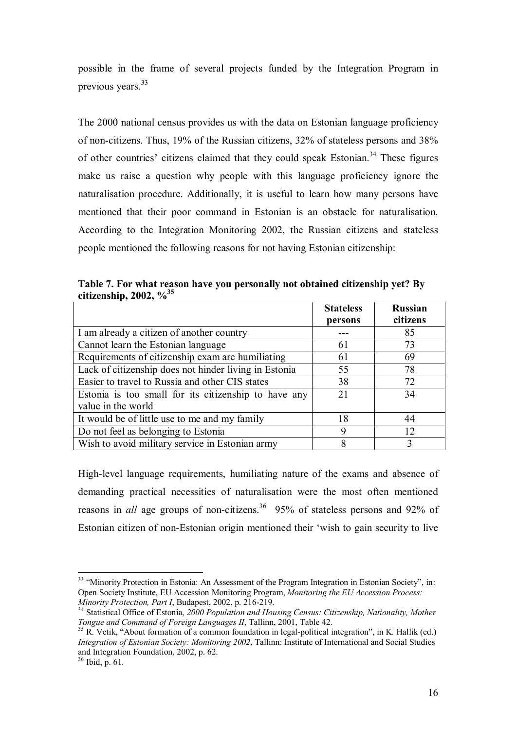possible in the frame of several projects funded by the Integration Program in previous years.<sup>33</sup>

The 2000 national census provides us with the data on Estonian language proficiency of non-citizens. Thus, 19% of the Russian citizens, 32% of stateless persons and 38% of other countries' citizens claimed that they could speak Estonian.<sup>34</sup> These figures make us raise a question why people with this language proficiency ignore the naturalisation procedure. Additionally, it is useful to learn how many persons have mentioned that their poor command in Estonian is an obstacle for naturalisation. According to the Integration Monitoring 2002, the Russian citizens and stateless people mentioned the following reasons for not having Estonian citizenship:

**Table 7. For what reason have you personally not obtained citizenship yet? By citizenship, 2002, %35**

|                                                       | <b>Stateless</b><br>persons | <b>Russian</b><br>citizens |
|-------------------------------------------------------|-----------------------------|----------------------------|
| I am already a citizen of another country             |                             | 85                         |
| Cannot learn the Estonian language                    | 61                          | 73                         |
| Requirements of citizenship exam are humiliating      | 61                          | 69                         |
| Lack of citizenship does not hinder living in Estonia | 55                          | 78                         |
| Easier to travel to Russia and other CIS states       | 38                          | 72                         |
| Estonia is too small for its citizenship to have any  | 21                          | 34                         |
| value in the world                                    |                             |                            |
| It would be of little use to me and my family         | 18                          | 44                         |
| Do not feel as belonging to Estonia                   | 9                           | 12                         |
| Wish to avoid military service in Estonian army       | 8                           | 3                          |

High-level language requirements, humiliating nature of the exams and absence of demanding practical necessities of naturalisation were the most often mentioned reasons in *all* age groups of non-citizens.<sup>36</sup> 95% of stateless persons and 92% of Estonian citizen of non-Estonian origin mentioned their 'wish to gain security to live

<sup>&</sup>lt;sup>33</sup> "Minority Protection in Estonia: An Assessment of the Program Integration in Estonian Society", in: Open Society Institute, EU Accession Monitoring Program, *Monitoring the EU Accession Process:* 

<sup>&</sup>lt;sup>34</sup> Statistical Office of Estonia, 2000 Population and Housing Census: Citizenship, Nationality, Mother *Tongue and Command of Foreign Languages II*, Tallinn, 2001, Table 42.

<sup>&</sup>lt;sup>35</sup> R. Vetik, "About formation of a common foundation in legal-political integration", in K. Hallik (ed.) *Integration of Estonian Society: Monitoring 2002*, Tallinn: Institute of International and Social Studies and Integration Foundation, 2002, p. 62.

<sup>36</sup> Ibid, p. 61.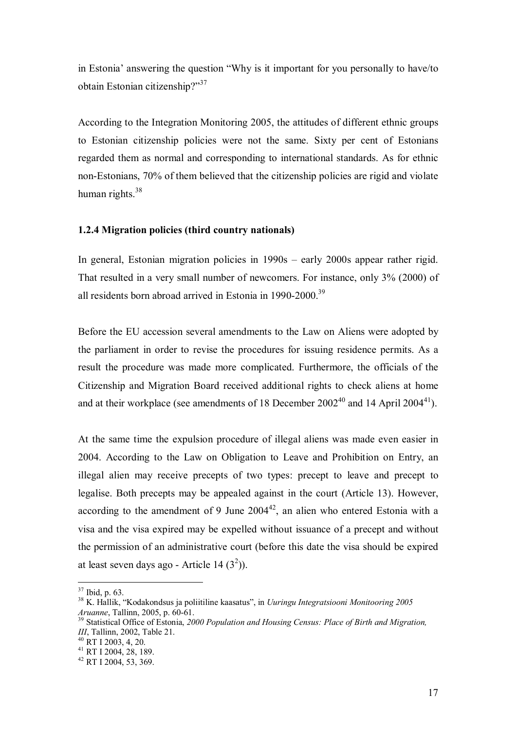in Estonia' answering the question "Why is it important for you personally to have/to obtain Estonian citizenship?"37

According to the Integration Monitoring 2005, the attitudes of different ethnic groups to Estonian citizenship policies were not the same. Sixty per cent of Estonians regarded them as normal and corresponding to international standards. As for ethnic non-Estonians, 70% of them believed that the citizenship policies are rigid and violate human rights. $38$ 

#### **1.2.4 Migration policies (third country nationals)**

In general, Estonian migration policies in 1990s – early 2000s appear rather rigid. That resulted in a very small number of newcomers. For instance, only 3% (2000) of all residents born abroad arrived in Estonia in 1990-2000.<sup>39</sup>

Before the EU accession several amendments to the Law on Aliens were adopted by the parliament in order to revise the procedures for issuing residence permits. As a result the procedure was made more complicated. Furthermore, the officials of the Citizenship and Migration Board received additional rights to check aliens at home and at their workplace (see amendments of 18 December  $2002^{40}$  and 14 April 2004<sup>41</sup>).

At the same time the expulsion procedure of illegal aliens was made even easier in 2004. According to the Law on Obligation to Leave and Prohibition on Entry, an illegal alien may receive precepts of two types: precept to leave and precept to legalise. Both precepts may be appealed against in the court (Article 13). However, according to the amendment of 9 June  $2004^{42}$ , an alien who entered Estonia with a visa and the visa expired may be expelled without issuance of a precept and without the permission of an administrative court (before this date the visa should be expired at least seven days ago - Article 14  $(3^2)$ ).

 $37$  Ibid, p. 63.

<sup>38</sup> K. Hallik, "Kodakondsus ja poliitiline kaasatus", in *Uuringu Integratsiooni Monitooring 2005 Aruanne*, Tallinn, 2005, p. 60-61. 39 Statistical Office of Estonia, *2000 Population and Housing Census: Place of Birth and Migration,* 

*III*, Tallinn, 2002, Table 21.<br><sup>40</sup> RT I 2003, 4, 20.

<sup>41</sup> RT I 2004, 28, 189.

<sup>42</sup> RT I 2004, 53, 369.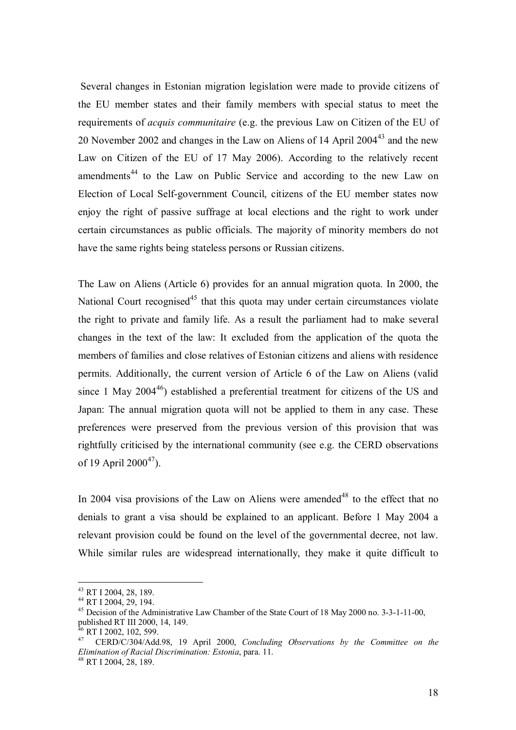Several changes in Estonian migration legislation were made to provide citizens of the EU member states and their family members with special status to meet the requirements of *acquis communitaire* (e.g. the previous Law on Citizen of the EU of 20 November 2002 and changes in the Law on Aliens of 14 April 2004<sup>43</sup> and the new Law on Citizen of the EU of 17 May 2006). According to the relatively recent amendments<sup>44</sup> to the Law on Public Service and according to the new Law on Election of Local Self-government Council, citizens of the EU member states now enjoy the right of passive suffrage at local elections and the right to work under certain circumstances as public officials. The majority of minority members do not have the same rights being stateless persons or Russian citizens.

The Law on Aliens (Article 6) provides for an annual migration quota. In 2000, the National Court recognised<sup>45</sup> that this quota may under certain circumstances violate the right to private and family life. As a result the parliament had to make several changes in the text of the law: It excluded from the application of the quota the members of families and close relatives of Estonian citizens and aliens with residence permits. Additionally, the current version of Article 6 of the Law on Aliens (valid since 1 May  $2004^{46}$ ) established a preferential treatment for citizens of the US and Japan: The annual migration quota will not be applied to them in any case. These preferences were preserved from the previous version of this provision that was rightfully criticised by the international community (see e.g. the CERD observations of 19 April  $2000^{47}$ ).

In 2004 visa provisions of the Law on Aliens were amended<sup>48</sup> to the effect that no denials to grant a visa should be explained to an applicant. Before 1 May 2004 a relevant provision could be found on the level of the governmental decree, not law. While similar rules are widespread internationally, they make it quite difficult to

<sup>43</sup> RT I 2004, 28, 189.

<sup>44</sup> RT I 2004, 29, 194.

<sup>45</sup> Decision of the Administrative Law Chamber of the State Court of 18 May 2000 no. 3-3-1-11-00, published RT III 2000, 14, 149.

 $6$  RT I 2002, 102, 599.

<sup>47</sup> CERD/C/304/Add.98, 19 April 2000, *Concluding Observations by the Committee on the Elimination of Racial Discrimination: Estonia*, para. 11. 48 RT I 2004, 28, 189.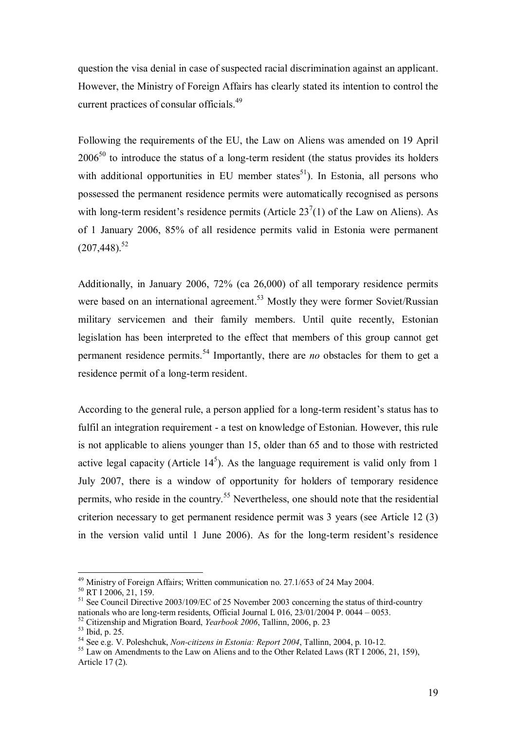question the visa denial in case of suspected racial discrimination against an applicant. However, the Ministry of Foreign Affairs has clearly stated its intention to control the current practices of consular officials.<sup>49</sup>

Following the requirements of the EU, the Law on Aliens was amended on 19 April  $2006<sup>50</sup>$  to introduce the status of a long-term resident (the status provides its holders with additional opportunities in EU member states<sup>51</sup>). In Estonia, all persons who possessed the permanent residence permits were automatically recognised as persons with long-term resident's residence permits (Article  $23^7(1)$  of the Law on Aliens). As of 1 January 2006, 85% of all residence permits valid in Estonia were permanent  $(207, 448)^{52}$ 

Additionally, in January 2006, 72% (ca 26,000) of all temporary residence permits were based on an international agreement.<sup>53</sup> Mostly they were former Soviet/Russian military servicemen and their family members. Until quite recently, Estonian legislation has been interpreted to the effect that members of this group cannot get permanent residence permits.<sup>54</sup> Importantly, there are *no* obstacles for them to get a residence permit of a long-term resident.

According to the general rule, a person applied for a long-term resident's status has to fulfil an integration requirement - a test on knowledge of Estonian. However, this rule is not applicable to aliens younger than 15, older than 65 and to those with restricted active legal capacity (Article  $14<sup>5</sup>$ ). As the language requirement is valid only from 1 July 2007, there is a window of opportunity for holders of temporary residence permits, who reside in the country.<sup>55</sup> Nevertheless, one should note that the residential criterion necessary to get permanent residence permit was 3 years (see Article 12 (3) in the version valid until 1 June 2006). As for the long-term resident's residence

<sup>49</sup> Ministry of Foreign Affairs; Written communication no. 27.1/653 of 24 May 2004.

<sup>&</sup>lt;sup>50</sup> RT I 2006, 21, 159.

<sup>&</sup>lt;sup>51</sup> See Council Directive 2003/109/EC of 25 November 2003 concerning the status of third-country nationals who are long-term residents, Official Journal L 016, 23/01/2004 P. 0044 – 0053.

<sup>&</sup>lt;sup>52</sup> Citizenship and Migration Board, *Yearbook 2006*, Tallinn, 2006, p. 23<br><sup>53</sup> Ibid, p. 25.<br><sup>54</sup> See e.g. V. Poleshchuk, *Non-citizens in Estonia: Report 2004*, Tallinn, 2004, p. 10-12.

<sup>&</sup>lt;sup>55</sup> Law on Amendments to the Law on Aliens and to the Other Related Laws (RT I 2006, 21, 159), Article 17 (2).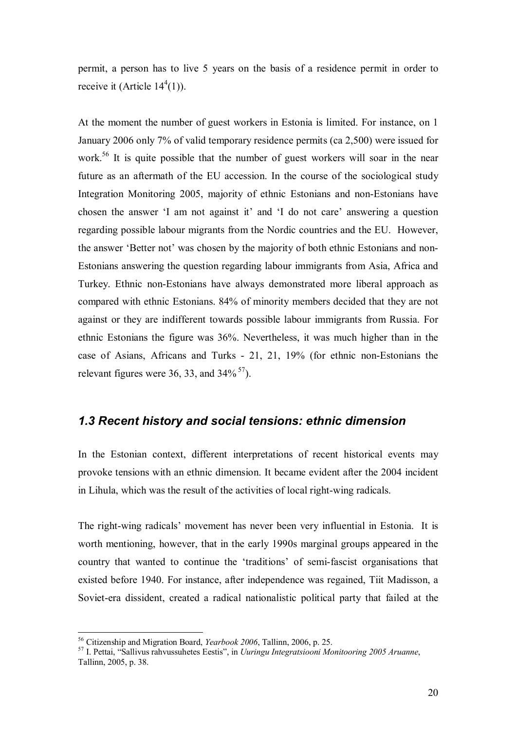permit, a person has to live 5 years on the basis of a residence permit in order to receive it (Article  $14^4(1)$ ).

At the moment the number of guest workers in Estonia is limited. For instance, on 1 January 2006 only 7% of valid temporary residence permits (ca 2,500) were issued for work.<sup>56</sup> It is quite possible that the number of guest workers will soar in the near future as an aftermath of the EU accession. In the course of the sociological study Integration Monitoring 2005, majority of ethnic Estonians and non-Estonians have chosen the answer 'I am not against it' and 'I do not care' answering a question regarding possible labour migrants from the Nordic countries and the EU. However, the answer 'Better not' was chosen by the majority of both ethnic Estonians and non-Estonians answering the question regarding labour immigrants from Asia, Africa and Turkey. Ethnic non-Estonians have always demonstrated more liberal approach as compared with ethnic Estonians. 84% of minority members decided that they are not against or they are indifferent towards possible labour immigrants from Russia. For ethnic Estonians the figure was 36%. Nevertheless, it was much higher than in the case of Asians, Africans and Turks - 21, 21, 19% (for ethnic non-Estonians the relevant figures were 36, 33, and  $34\%$ <sup>57</sup>).

#### *1.3 Recent history and social tensions: ethnic dimension*

In the Estonian context, different interpretations of recent historical events may provoke tensions with an ethnic dimension. It became evident after the 2004 incident in Lihula, which was the result of the activities of local right-wing radicals.

The right-wing radicals' movement has never been very influential in Estonia. It is worth mentioning, however, that in the early 1990s marginal groups appeared in the country that wanted to continue the 'traditions' of semi-fascist organisations that existed before 1940. For instance, after independence was regained, Tiit Madisson, a Soviet-era dissident, created a radical nationalistic political party that failed at the

 $56$  Citizenship and Migration Board. *Yearbook 2006*. Tallinn. 2006. p. 25.

<sup>&</sup>lt;sup>57</sup> I. Pettai, "Sallivus rahvussuhetes Eestis", in *Uuringu Integratsiooni Monitooring 2005 Aruanne*, Tallinn, 2005, p. 38.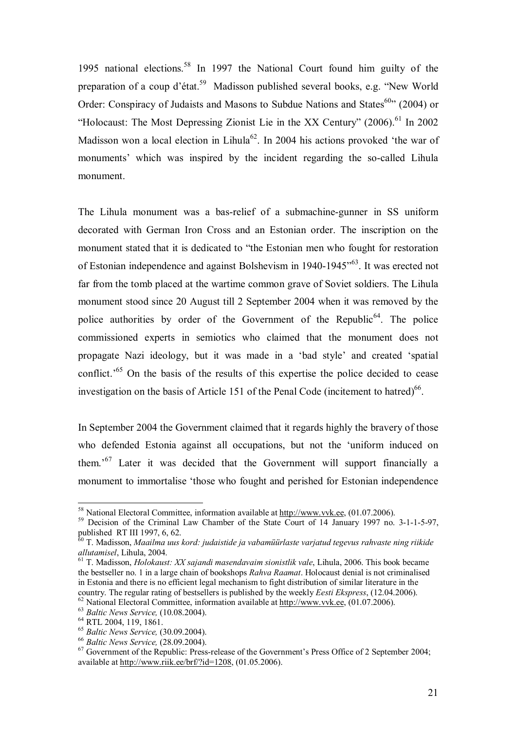1995 national elections.58 In 1997 the National Court found him guilty of the preparation of a coup d'état.59 Madisson published several books, e.g. "New World Order: Conspiracy of Judaists and Masons to Subdue Nations and States<sup>60</sup><sup>3</sup> (2004) or "Holocaust: The Most Depressing Zionist Lie in the XX Century"  $(2006)$ <sup>61</sup> In 2002 Madisson won a local election in Lihula<sup>62</sup>. In 2004 his actions provoked 'the war of monuments' which was inspired by the incident regarding the so-called Lihula monument.

The Lihula monument was a bas-relief of a submachine-gunner in SS uniform decorated with German Iron Cross and an Estonian order. The inscription on the monument stated that it is dedicated to "the Estonian men who fought for restoration of Estonian independence and against Bolshevism in 1940-1945"63. It was erected not far from the tomb placed at the wartime common grave of Soviet soldiers. The Lihula monument stood since 20 August till 2 September 2004 when it was removed by the police authorities by order of the Government of the Republic<sup>64</sup>. The police commissioned experts in semiotics who claimed that the monument does not propagate Nazi ideology, but it was made in a 'bad style' and created 'spatial conflict.<sup>'65</sup> On the basis of the results of this expertise the police decided to cease investigation on the basis of Article 151 of the Penal Code (incitement to hatred) $66$ .

In September 2004 the Government claimed that it regards highly the bravery of those who defended Estonia against all occupations, but not the 'uniform induced on them.'67 Later it was decided that the Government will support financially a monument to immortalise 'those who fought and perished for Estonian independence

<sup>&</sup>lt;sup>58</sup> National Electoral Committee, information available at http://www.vvk.ee, (01.07.2006).

<sup>&</sup>lt;sup>59</sup> Decision of the Criminal Law Chamber of the State Court of 14 January 1997 no. 3-1-1-5-97, published RT III 1997, 6, 62.

<sup>60</sup> T. Madisson, *Maailma uus kord: judaistide ja vabamüürlaste varjatud tegevus rahvaste ning riikide allutamisel*, Lihula, 2004.<br><sup>61</sup> T. Madisson, *Holokaust: XX sajandi masendavaim sionistlik vale*, Lihula, 2006. This book became

the bestseller no. 1 in a large chain of bookshops *Rahva Raamat*. Holocaust denial is not criminalised in Estonia and there is no efficient legal mechanism to fight distribution of similar literature in the country. The regular rating of bestsellers is published by the weekly *Eesti Ekspress*, (12.04.2006). <sup>62</sup> National Electoral Committee, information available at  $\frac{http://www.vvk.ee}{http://www.vvk.ee}$ , (01.07.2006).<br><sup>63</sup> Baltic News Service, (10.08.2004).<br><sup>64</sup> RTL 2004, 119, 1861.<br><sup>65</sup> Baltic News Service, (30.09.2004).

<sup>&</sup>lt;sup>66</sup> *Baltic News Service,* (28.09.2004). <sup>67</sup> Government of the Republic: Press-release of the Government's Press Office of 2 September 2004; available at http://www.riik.ee/brf/?id=1208, (01.05.2006).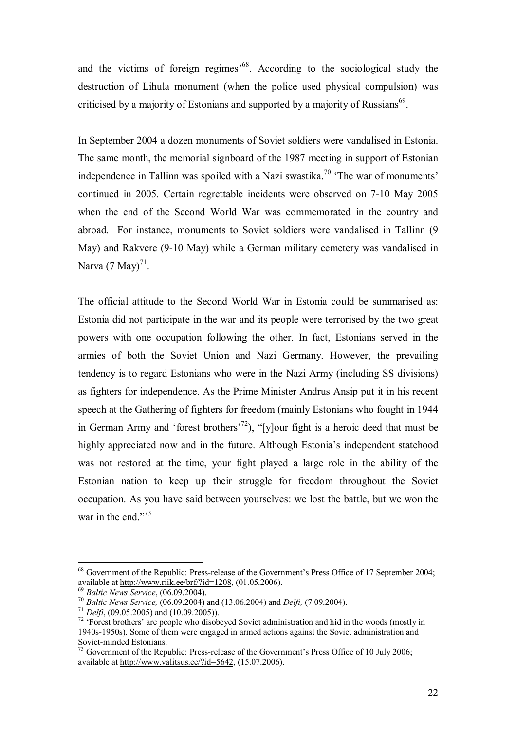and the victims of foreign regimes<sup>568</sup>. According to the sociological study the destruction of Lihula monument (when the police used physical compulsion) was criticised by a majority of Estonians and supported by a majority of Russians<sup>69</sup>.

In September 2004 a dozen monuments of Soviet soldiers were vandalised in Estonia. The same month, the memorial signboard of the 1987 meeting in support of Estonian independence in Tallinn was spoiled with a Nazi swastika.<sup>70</sup> 'The war of monuments' continued in 2005. Certain regrettable incidents were observed on 7-10 May 2005 when the end of the Second World War was commemorated in the country and abroad. For instance, monuments to Soviet soldiers were vandalised in Tallinn (9 May) and Rakvere (9-10 May) while a German military cemetery was vandalised in Narva  $(7 \text{ May})^{71}$ .

The official attitude to the Second World War in Estonia could be summarised as: Estonia did not participate in the war and its people were terrorised by the two great powers with one occupation following the other. In fact, Estonians served in the armies of both the Soviet Union and Nazi Germany. However, the prevailing tendency is to regard Estonians who were in the Nazi Army (including SS divisions) as fighters for independence. As the Prime Minister Andrus Ansip put it in his recent speech at the Gathering of fighters for freedom (mainly Estonians who fought in 1944 in German Army and 'forest brothers<sup>'72</sup>), "[y]our fight is a heroic deed that must be highly appreciated now and in the future. Although Estonia's independent statehood was not restored at the time, your fight played a large role in the ability of the Estonian nation to keep up their struggle for freedom throughout the Soviet occupation. As you have said between yourselves: we lost the battle, but we won the war in the end."<sup>73</sup>

<sup>&</sup>lt;sup>68</sup> Government of the Republic: Press-release of the Government's Press Office of 17 September 2004; available at <u>http://www.riik.ee/brf/?id=1208</u>, (01.05.2006).<br><sup>69</sup> Baltic News Service, (06.09.2004).<br><sup>70</sup> Baltic News Service, (06.09.2004) and (13.06.2004) and *Delfi*, (7.09.2004).<br><sup>71</sup> Delfi, (09.05.2005) and (10.09.2

<sup>1940</sup>s-1950s). Some of them were engaged in armed actions against the Soviet administration and Soviet-minded Estonians.

 $^{73}$  Government of the Republic: Press-release of the Government's Press Office of 10 July 2006; available at http://www.valitsus.ee/?id=5642, (15.07.2006).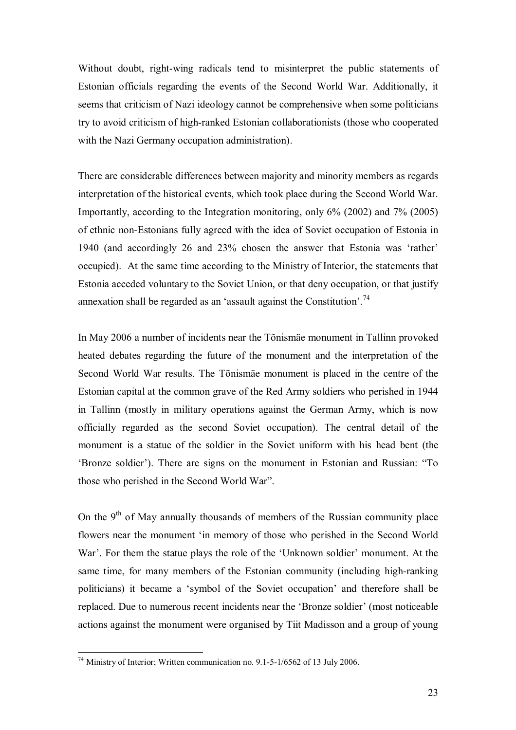Without doubt, right-wing radicals tend to misinterpret the public statements of Estonian officials regarding the events of the Second World War. Additionally, it seems that criticism of Nazi ideology cannot be comprehensive when some politicians try to avoid criticism of high-ranked Estonian collaborationists (those who cooperated with the Nazi Germany occupation administration).

There are considerable differences between majority and minority members as regards interpretation of the historical events, which took place during the Second World War. Importantly, according to the Integration monitoring, only 6% (2002) and 7% (2005) of ethnic non-Estonians fully agreed with the idea of Soviet occupation of Estonia in 1940 (and accordingly 26 and 23% chosen the answer that Estonia was 'rather' occupied). At the same time according to the Ministry of Interior, the statements that Estonia acceded voluntary to the Soviet Union, or that deny occupation, or that justify annexation shall be regarded as an 'assault against the Constitution'.<sup>74</sup>

In May 2006 a number of incidents near the Tõnismäe monument in Tallinn provoked heated debates regarding the future of the monument and the interpretation of the Second World War results. The Tõnismäe monument is placed in the centre of the Estonian capital at the common grave of the Red Army soldiers who perished in 1944 in Tallinn (mostly in military operations against the German Army, which is now officially regarded as the second Soviet occupation). The central detail of the monument is a statue of the soldier in the Soviet uniform with his head bent (the 'Bronze soldier'). There are signs on the monument in Estonian and Russian: "To those who perished in the Second World War".

On the  $9<sup>th</sup>$  of May annually thousands of members of the Russian community place flowers near the monument 'in memory of those who perished in the Second World War'. For them the statue plays the role of the 'Unknown soldier' monument. At the same time, for many members of the Estonian community (including high-ranking politicians) it became a 'symbol of the Soviet occupation' and therefore shall be replaced. Due to numerous recent incidents near the 'Bronze soldier' (most noticeable actions against the monument were organised by Tiit Madisson and a group of young

<sup>&</sup>lt;sup>74</sup> Ministry of Interior; Written communication no. 9.1-5-1/6562 of 13 July 2006.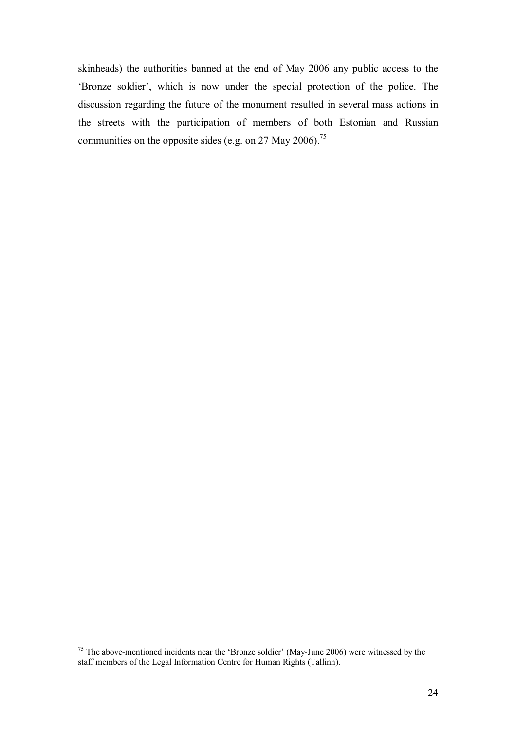skinheads) the authorities banned at the end of May 2006 any public access to the 'Bronze soldier', which is now under the special protection of the police. The discussion regarding the future of the monument resulted in several mass actions in the streets with the participation of members of both Estonian and Russian communities on the opposite sides (e.g. on 27 May 2006).<sup>75</sup>

 $75$  The above-mentioned incidents near the 'Bronze soldier' (May-June 2006) were witnessed by the staff members of the Legal Information Centre for Human Rights (Tallinn).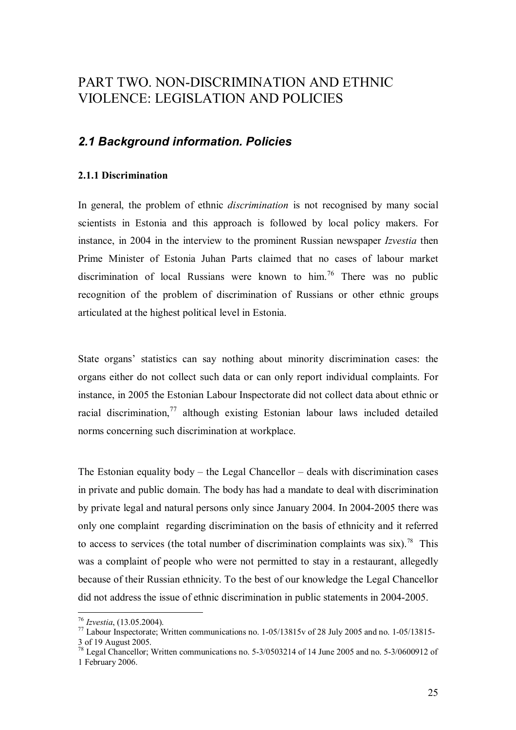# PART TWO. NON-DISCRIMINATION AND ETHNIC VIOLENCE: LEGISLATION AND POLICIES

## *2.1 Background information. Policies*

#### **2.1.1 Discrimination**

In general, the problem of ethnic *discrimination* is not recognised by many social scientists in Estonia and this approach is followed by local policy makers. For instance, in 2004 in the interview to the prominent Russian newspaper *Izvestia* then Prime Minister of Estonia Juhan Parts claimed that no cases of labour market discrimination of local Russians were known to him.<sup>76</sup> There was no public recognition of the problem of discrimination of Russians or other ethnic groups articulated at the highest political level in Estonia.

State organs' statistics can say nothing about minority discrimination cases: the organs either do not collect such data or can only report individual complaints. For instance, in 2005 the Estonian Labour Inspectorate did not collect data about ethnic or racial discrimination,<sup>77</sup> although existing Estonian labour laws included detailed norms concerning such discrimination at workplace.

The Estonian equality body – the Legal Chancellor – deals with discrimination cases in private and public domain. The body has had a mandate to deal with discrimination by private legal and natural persons only since January 2004. In 2004-2005 there was only one complaint regarding discrimination on the basis of ethnicity and it referred to access to services (the total number of discrimination complaints was six).<sup>78</sup> This was a complaint of people who were not permitted to stay in a restaurant, allegedly because of their Russian ethnicity. To the best of our knowledge the Legal Chancellor did not address the issue of ethnic discrimination in public statements in 2004-2005.

<sup>&</sup>lt;sup>76</sup> *Izvestia*, (13.05.2004).<br><sup>77</sup> Labour Inspectorate; Written communications no. 1-05/13815v of 28 July 2005 and no. 1-05/13815-3 of 19 August 2005.

 $78$  Legal Chancellor; Written communications no. 5-3/0503214 of 14 June 2005 and no. 5-3/0600912 of 1 February 2006.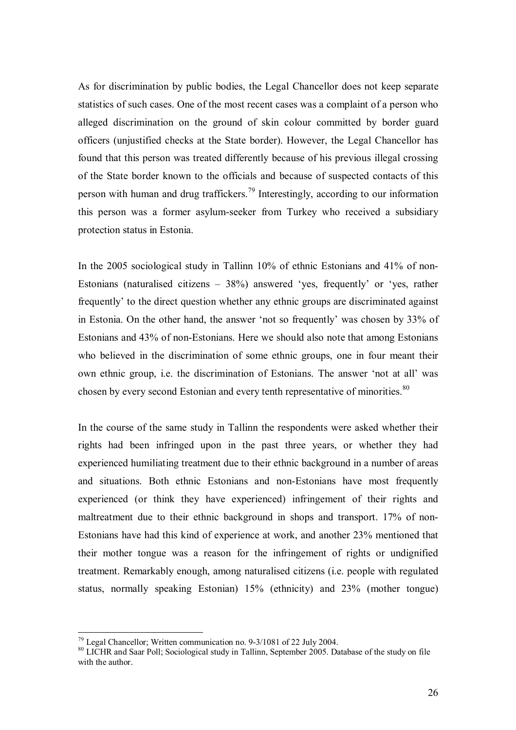As for discrimination by public bodies, the Legal Chancellor does not keep separate statistics of such cases. One of the most recent cases was a complaint of a person who alleged discrimination on the ground of skin colour committed by border guard officers (unjustified checks at the State border). However, the Legal Chancellor has found that this person was treated differently because of his previous illegal crossing of the State border known to the officials and because of suspected contacts of this person with human and drug traffickers.<sup>79</sup> Interestingly, according to our information this person was a former asylum-seeker from Turkey who received a subsidiary protection status in Estonia.

In the 2005 sociological study in Tallinn 10% of ethnic Estonians and 41% of non-Estonians (naturalised citizens – 38%) answered 'yes, frequently' or 'yes, rather frequently' to the direct question whether any ethnic groups are discriminated against in Estonia. On the other hand, the answer 'not so frequently' was chosen by 33% of Estonians and 43% of non-Estonians. Here we should also note that among Estonians who believed in the discrimination of some ethnic groups, one in four meant their own ethnic group, i.e. the discrimination of Estonians. The answer 'not at all' was chosen by every second Estonian and every tenth representative of minorities.<sup>80</sup>

In the course of the same study in Tallinn the respondents were asked whether their rights had been infringed upon in the past three years, or whether they had experienced humiliating treatment due to their ethnic background in a number of areas and situations. Both ethnic Estonians and non-Estonians have most frequently experienced (or think they have experienced) infringement of their rights and maltreatment due to their ethnic background in shops and transport. 17% of non-Estonians have had this kind of experience at work, and another 23% mentioned that their mother tongue was a reason for the infringement of rights or undignified treatment. Remarkably enough, among naturalised citizens (i.e. people with regulated status, normally speaking Estonian) 15% (ethnicity) and 23% (mother tongue)

 $79$  Legal Chancellor; Written communication no. 9-3/1081 of 22 July 2004.

<sup>&</sup>lt;sup>80</sup> LICHR and Saar Poll; Sociological study in Tallinn, September 2005. Database of the study on file with the author.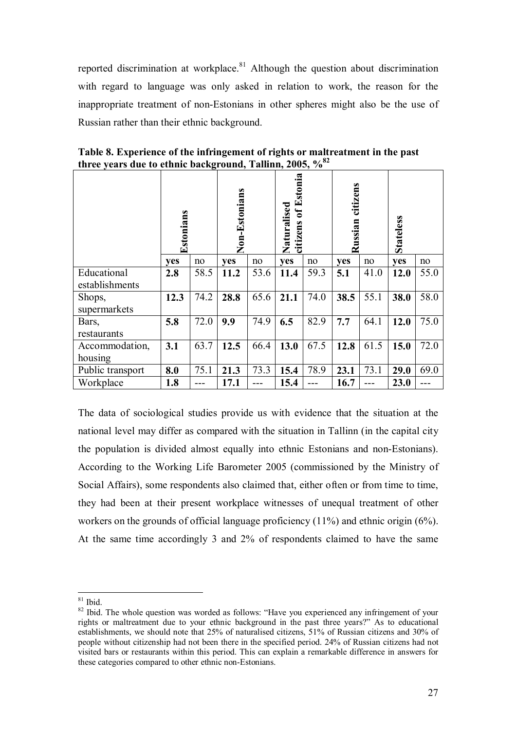reported discrimination at workplace.<sup>81</sup> Although the question about discrimination with regard to language was only asked in relation to work, the reason for the inappropriate treatment of non-Estonians in other spheres might also be the use of Russian rather than their ethnic background.

|                               | Estonians  |      | Non-Estonians |      | of Estonia<br>Naturalised<br>citizens |      | citizens<br>Russian |      | <b>Stateless</b> |      |
|-------------------------------|------------|------|---------------|------|---------------------------------------|------|---------------------|------|------------------|------|
|                               | <b>ves</b> | no   | <b>ves</b>    | no   | yes                                   | no   | yes                 | no   | <b>ves</b>       | no   |
| Educational<br>establishments | 2.8        | 58.5 | 11.2          | 53.6 | 11.4                                  | 59.3 | 5.1                 | 41.0 | 12.0             | 55.0 |
| Shops,<br>supermarkets        | 12.3       | 74.2 | 28.8          | 65.6 | 21.1                                  | 74.0 | 38.5                | 55.1 | 38.0             | 58.0 |
| Bars,<br>restaurants          | 5.8        | 72.0 | 9.9           | 74.9 | 6.5                                   | 82.9 | 7.7                 | 64.1 | 12.0             | 75.0 |
| Accommodation,<br>housing     | 3.1        | 63.7 | 12.5          | 66.4 | 13.0                                  | 67.5 | 12.8                | 61.5 | 15.0             | 72.0 |
| Public transport              | 8.0        | 75.1 | 21.3          | 73.3 | 15.4                                  | 78.9 | 23.1                | 73.1 | 29.0             | 69.0 |
| Workplace                     | 1.8        |      | 17.1          |      | 15.4                                  |      | 16.7                |      | 23.0             |      |

**Table 8. Experience of the infringement of rights or maltreatment in the past three years due to ethnic background, Tallinn, 2005, %82**

The data of sociological studies provide us with evidence that the situation at the national level may differ as compared with the situation in Tallinn (in the capital city the population is divided almost equally into ethnic Estonians and non-Estonians). According to the Working Life Barometer 2005 (commissioned by the Ministry of Social Affairs), some respondents also claimed that, either often or from time to time, they had been at their present workplace witnesses of unequal treatment of other workers on the grounds of official language proficiency (11%) and ethnic origin (6%). At the same time accordingly 3 and 2% of respondents claimed to have the same

 $81$  Ibid.

<sup>&</sup>lt;sup>82</sup> Ibid. The whole question was worded as follows: "Have you experienced any infringement of your rights or maltreatment due to your ethnic background in the past three years?" As to educational establishments, we should note that 25% of naturalised citizens, 51% of Russian citizens and 30% of people without citizenship had not been there in the specified period. 24% of Russian citizens had not visited bars or restaurants within this period. This can explain a remarkable difference in answers for these categories compared to other ethnic non-Estonians.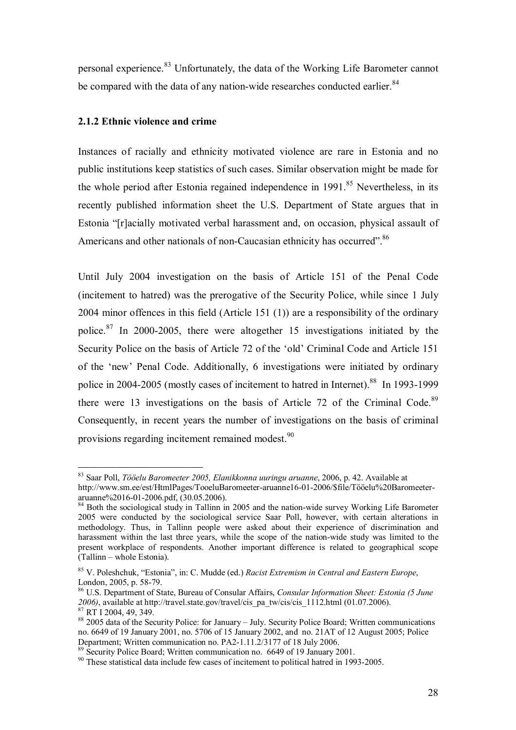personal experience.<sup>83</sup> Unfortunately, the data of the Working Life Barometer cannot be compared with the data of any nation-wide researches conducted earlier.<sup>84</sup>

#### **2.1.2 Ethnic violence and crime**

 $\overline{a}$ 

Instances of racially and ethnicity motivated violence are rare in Estonia and no public institutions keep statistics of such cases. Similar observation might be made for the whole period after Estonia regained independence in  $1991$ <sup>85</sup> Nevertheless, in its recently published information sheet the U.S. Department of State argues that in Estonia "[r]acially motivated verbal harassment and, on occasion, physical assault of Americans and other nationals of non-Caucasian ethnicity has occurred".<sup>86</sup>

Until July 2004 investigation on the basis of Article 151 of the Penal Code (incitement to hatred) was the prerogative of the Security Police, while since 1 July 2004 minor offences in this field (Article 151 (1)) are a responsibility of the ordinary police.87 In 2000-2005, there were altogether 15 investigations initiated by the Security Police on the basis of Article 72 of the 'old' Criminal Code and Article 151 of the 'new' Penal Code. Additionally, 6 investigations were initiated by ordinary police in 2004-2005 (mostly cases of incitement to hatred in Internet).<sup>88</sup> In 1993-1999 there were 13 investigations on the basis of Article 72 of the Criminal Code.<sup>89</sup> Consequently, in recent years the number of investigations on the basis of criminal provisions regarding incitement remained modest.<sup>90</sup>

<sup>83</sup> Saar Poll, *Tööelu Baromeeter 2005, Elanikkonna uuringu aruanne*, 2006, p. 42. Available at http://www.sm.ee/est/HtmlPages/TooeluBaromeeter-aruanne16-01-2006/\$file/Tööelu%20Baromeeteraruanne%2016-01-2006.pdf, (30.05.2006).

 $84$  Both the sociological study in Tallinn in 2005 and the nation-wide survey Working Life Barometer 2005 were conducted by the sociological service Saar Poll, however, with certain alterations in methodology. Thus, in Tallinn people were asked about their experience of discrimination and harassment within the last three years, while the scope of the nation-wide study was limited to the present workplace of respondents. Another important difference is related to geographical scope (Tallinn – whole Estonia).

<sup>85</sup> V. Poleshchuk, "Estonia", in: C. Mudde (ed.) *Racist Extremism in Central and Eastern Europe*, London, 2005, p. 58-79.

<sup>86</sup> U.S. Department of State, Bureau of Consular Affairs, *Consular Information Sheet: Estonia (5 June 2006)*, available at http://travel.state.gov/travel/cis\_pa\_tw/cis/cis\_1112.html (01.07.2006). 87 RT I 2004, 49, 349.

<sup>88 2005</sup> data of the Security Police: for January – July. Security Police Board; Written communications no. 6649 of 19 January 2001, no. 5706 of 15 January 2002, and no. 21AT of 12 August 2005; Police Department; Written communication no. PA2-1.11.2/3177 of 18 July 2006.

<sup>89</sup> Security Police Board; Written communication no. 6649 of 19 January 2001.

<sup>90</sup> These statistical data include few cases of incitement to political hatred in 1993-2005.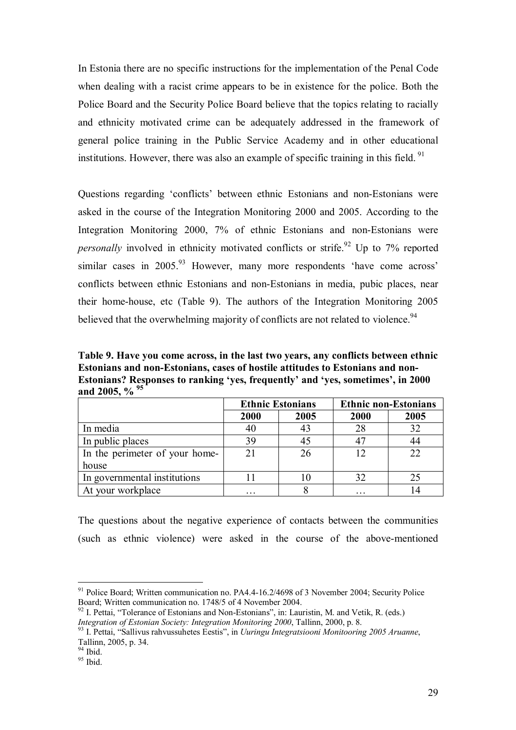In Estonia there are no specific instructions for the implementation of the Penal Code when dealing with a racist crime appears to be in existence for the police. Both the Police Board and the Security Police Board believe that the topics relating to racially and ethnicity motivated crime can be adequately addressed in the framework of general police training in the Public Service Academy and in other educational institutions. However, there was also an example of specific training in this field.  $91$ 

Questions regarding 'conflicts' between ethnic Estonians and non-Estonians were asked in the course of the Integration Monitoring 2000 and 2005. According to the Integration Monitoring 2000, 7% of ethnic Estonians and non-Estonians were *personally* involved in ethnicity motivated conflicts or strife.<sup>92</sup> Up to 7% reported similar cases in 2005.<sup>93</sup> However, many more respondents 'have come across' conflicts between ethnic Estonians and non-Estonians in media, pubic places, near their home-house, etc (Table 9). The authors of the Integration Monitoring 2005 believed that the overwhelming majority of conflicts are not related to violence.<sup>94</sup>

**Table 9. Have you come across, in the last two years, any conflicts between ethnic Estonians and non-Estonians, cases of hostile attitudes to Estonians and non-Estonians? Responses to ranking 'yes, frequently' and 'yes, sometimes', in 2000 and 2005, % 95** 

|                                | <b>Ethnic Estonians</b> |      |      | <b>Ethnic non-Estonians</b> |
|--------------------------------|-------------------------|------|------|-----------------------------|
|                                | 2000                    | 2005 | 2000 | 2005                        |
| In media                       | 40                      | 43   | 28   | 32                          |
| In public places               | 39                      | 45   | 47   |                             |
| In the perimeter of your home- | 21                      | 26   | 12   |                             |
| house                          |                         |      |      |                             |
| In governmental institutions   |                         | 10   | 32   |                             |
| At your workplace              | .                       |      | .    |                             |

The questions about the negative experience of contacts between the communities (such as ethnic violence) were asked in the course of the above-mentioned

<sup>&</sup>lt;sup>91</sup> Police Board; Written communication no. PA4.4-16.2/4698 of 3 November 2004; Security Police Board; Written communication no. 1748/5 of 4 November 2004.

<sup>&</sup>lt;sup>92</sup> I. Pettai, "Tolerance of Estonians and Non-Estonians", in: Lauristin, M. and Vetik, R. (eds.) *Integration of Estonian Society: Integration Monitoring 2000*, Tallinn, 2000, p. 8.

<sup>&</sup>lt;sup>93</sup> I. Pettai, "Sallivus rahvussuhetes Eestis", in *Uuringu Integratsiooni Monitooring 2005 Aruanne*, Tallinn, 2005, p. 34.

<sup>&</sup>lt;sup>94</sup> Ibid.

 $95$  Ibid.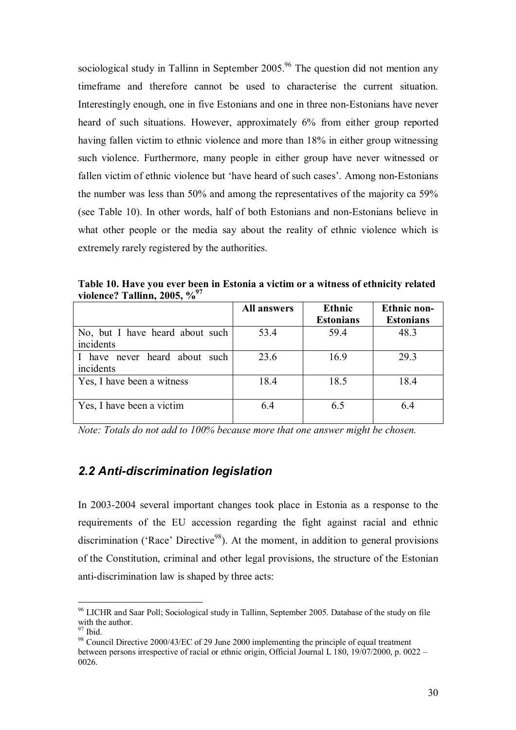sociological study in Tallinn in September  $2005<sup>96</sup>$  The question did not mention any timeframe and therefore cannot be used to characterise the current situation. Interestingly enough, one in five Estonians and one in three non-Estonians have never heard of such situations. However, approximately 6% from either group reported having fallen victim to ethnic violence and more than 18% in either group witnessing such violence. Furthermore, many people in either group have never witnessed or fallen victim of ethnic violence but 'have heard of such cases'. Among non-Estonians the number was less than 50% and among the representatives of the majority ca 59% (see Table 10). In other words, half of both Estonians and non-Estonians believe in what other people or the media say about the reality of ethnic violence which is extremely rarely registered by the authorities.

|                                              | <b>All answers</b> | Ethnic<br><b>Estonians</b> | <b>Ethnic non-</b><br><b>Estonians</b> |
|----------------------------------------------|--------------------|----------------------------|----------------------------------------|
| No, but I have heard about such<br>incidents | 53.4               | 59.4                       | 48.3                                   |
| I have never heard about such<br>incidents   | 23.6               | 16.9                       | 29.3                                   |
| Yes, I have been a witness                   | 18.4               | 18.5                       | 18.4                                   |
| Yes, I have been a victim                    | 6.4                | 6.5                        | 64                                     |

**Table 10. Have you ever been in Estonia a victim or a witness of ethnicity related violence? Tallinn, 2005, %97**

*Note: Totals do not add to 100% because more that one answer might be chosen.* 

### *2.2 Anti-discrimination legislation*

In 2003-2004 several important changes took place in Estonia as a response to the requirements of the EU accession regarding the fight against racial and ethnic discrimination ('Race' Directive<sup>98</sup>). At the moment, in addition to general provisions of the Constitution, criminal and other legal provisions, the structure of the Estonian anti-discrimination law is shaped by three acts:

<sup>&</sup>lt;sup>96</sup> LICHR and Saar Poll; Sociological study in Tallinn, September 2005. Database of the study on file with the author.

 $97$  Ibid.

<sup>&</sup>lt;sup>98</sup> Council Directive 2000/43/EC of 29 June 2000 implementing the principle of equal treatment between persons irrespective of racial or ethnic origin, Official Journal L 180, 19/07/2000, p. 0022 – 0026.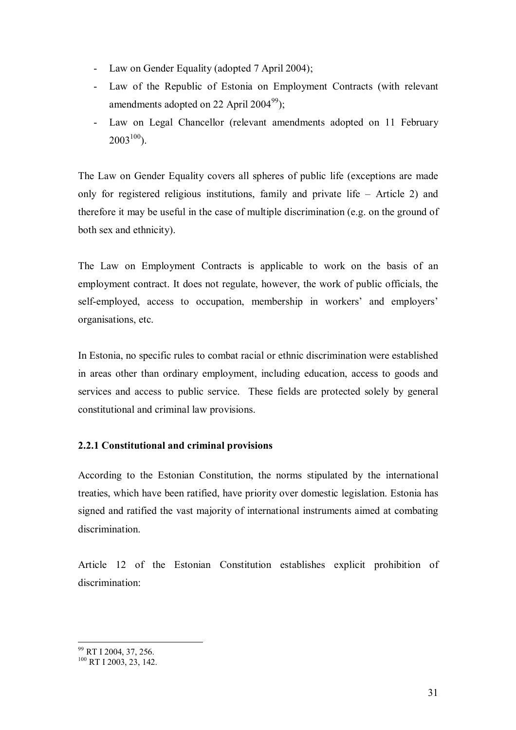- Law on Gender Equality (adopted 7 April 2004);
- Law of the Republic of Estonia on Employment Contracts (with relevant amendments adopted on 22 April 2004<sup>99</sup>):
- Law on Legal Chancellor (relevant amendments adopted on 11 February  $2003^{100}$ ).

The Law on Gender Equality covers all spheres of public life (exceptions are made only for registered religious institutions, family and private life – Article 2) and therefore it may be useful in the case of multiple discrimination (e.g. on the ground of both sex and ethnicity).

The Law on Employment Contracts is applicable to work on the basis of an employment contract. It does not regulate, however, the work of public officials, the self-employed, access to occupation, membership in workers' and employers' organisations, etc.

In Estonia, no specific rules to combat racial or ethnic discrimination were established in areas other than ordinary employment, including education, access to goods and services and access to public service. These fields are protected solely by general constitutional and criminal law provisions.

### **2.2.1 Constitutional and criminal provisions**

According to the Estonian Constitution, the norms stipulated by the international treaties, which have been ratified, have priority over domestic legislation. Estonia has signed and ratified the vast majority of international instruments aimed at combating discrimination.

Article 12 of the Estonian Constitution establishes explicit prohibition of discrimination:

<sup>&</sup>lt;sup>99</sup> RT I 2004, 37, 256.

 $^{100}$  RT I 2003, 23, 142.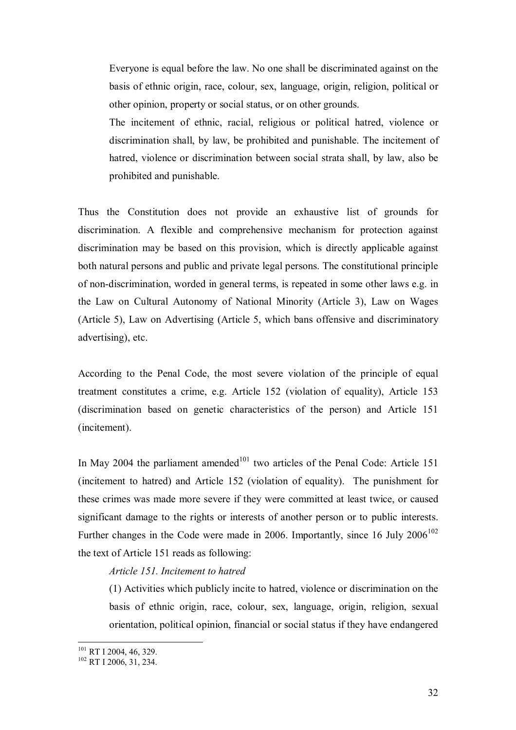Everyone is equal before the law. No one shall be discriminated against on the basis of ethnic origin, race, colour, sex, language, origin, religion, political or other opinion, property or social status, or on other grounds.

The incitement of ethnic, racial, religious or political hatred, violence or discrimination shall, by law, be prohibited and punishable. The incitement of hatred, violence or discrimination between social strata shall, by law, also be prohibited and punishable.

Thus the Constitution does not provide an exhaustive list of grounds for discrimination. A flexible and comprehensive mechanism for protection against discrimination may be based on this provision, which is directly applicable against both natural persons and public and private legal persons. The constitutional principle of non-discrimination, worded in general terms, is repeated in some other laws e.g. in the Law on Cultural Autonomy of National Minority (Article 3), Law on Wages (Article 5), Law on Advertising (Article 5, which bans offensive and discriminatory advertising), etc.

According to the Penal Code, the most severe violation of the principle of equal treatment constitutes a crime, e.g. Article 152 (violation of equality), Article 153 (discrimination based on genetic characteristics of the person) and Article 151 (incitement).

In May 2004 the parliament amended<sup>101</sup> two articles of the Penal Code: Article 151 (incitement to hatred) and Article 152 (violation of equality). The punishment for these crimes was made more severe if they were committed at least twice, or caused significant damage to the rights or interests of another person or to public interests. Further changes in the Code were made in 2006. Importantly, since 16 July  $2006<sup>102</sup>$ the text of Article 151 reads as following:

#### *Article 151. Incitement to hatred*

(1) Activities which publicly incite to hatred, violence or discrimination on the basis of ethnic origin, race, colour, sex, language, origin, religion, sexual orientation, political opinion, financial or social status if they have endangered

 $^{101}$  RT I 2004, 46, 329.<br> $^{102}$  RT I 2006, 31, 234.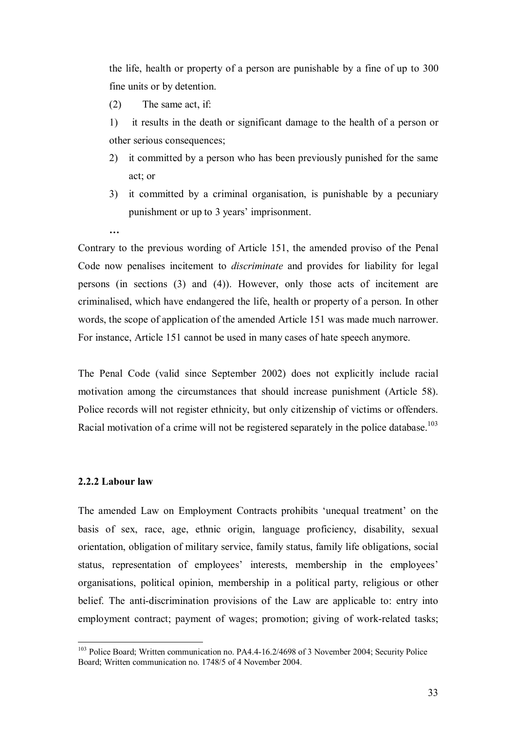the life, health or property of a person are punishable by a fine of up to 300 fine units or by detention.

(2) The same act, if:

- 1) it results in the death or significant damage to the health of a person or other serious consequences;
- 2) it committed by a person who has been previously punished for the same act; or
- 3) it committed by a criminal organisation, is punishable by a pecuniary punishment or up to 3 years' imprisonment.
- **…**

Contrary to the previous wording of Article 151, the amended proviso of the Penal Code now penalises incitement to *discriminate* and provides for liability for legal persons (in sections (3) and (4)). However, only those acts of incitement are criminalised, which have endangered the life, health or property of a person. In other words, the scope of application of the amended Article 151 was made much narrower. For instance, Article 151 cannot be used in many cases of hate speech anymore.

The Penal Code (valid since September 2002) does not explicitly include racial motivation among the circumstances that should increase punishment (Article 58). Police records will not register ethnicity, but only citizenship of victims or offenders. Racial motivation of a crime will not be registered separately in the police database.<sup>103</sup>

#### **2.2.2 Labour law**

 $\overline{a}$ 

The amended Law on Employment Contracts prohibits 'unequal treatment' on the basis of sex, race, age, ethnic origin, language proficiency, disability, sexual orientation, obligation of military service, family status, family life obligations, social status, representation of employees' interests, membership in the employees' organisations, political opinion, membership in a political party, religious or other belief. The anti-discrimination provisions of the Law are applicable to: entry into employment contract; payment of wages; promotion; giving of work-related tasks;

<sup>&</sup>lt;sup>103</sup> Police Board; Written communication no. PA4.4-16.2/4698 of 3 November 2004; Security Police Board; Written communication no. 1748/5 of 4 November 2004.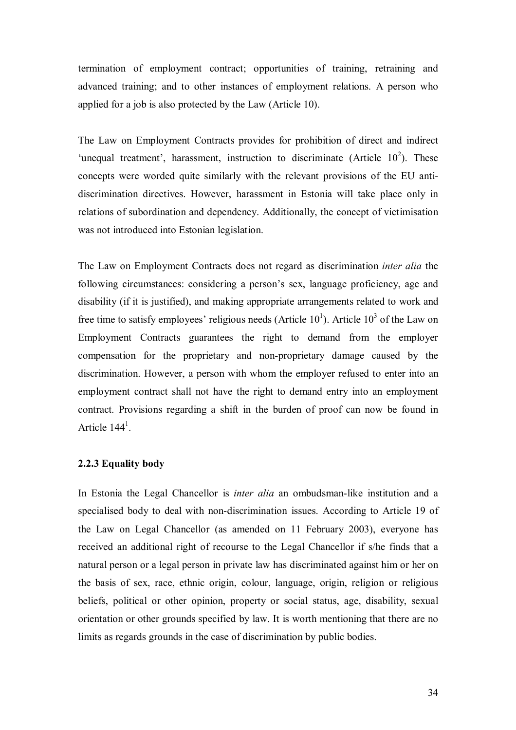termination of employment contract; opportunities of training, retraining and advanced training; and to other instances of employment relations. A person who applied for a job is also protected by the Law (Article 10).

The Law on Employment Contracts provides for prohibition of direct and indirect 'unequal treatment', harassment, instruction to discriminate (Article  $10^2$ ). These concepts were worded quite similarly with the relevant provisions of the EU antidiscrimination directives. However, harassment in Estonia will take place only in relations of subordination and dependency. Additionally, the concept of victimisation was not introduced into Estonian legislation.

The Law on Employment Contracts does not regard as discrimination *inter alia* the following circumstances: considering a person's sex, language proficiency, age and disability (if it is justified), and making appropriate arrangements related to work and free time to satisfy employees' religious needs (Article  $10<sup>1</sup>$ ). Article  $10<sup>3</sup>$  of the Law on Employment Contracts guarantees the right to demand from the employer compensation for the proprietary and non-proprietary damage caused by the discrimination. However, a person with whom the employer refused to enter into an employment contract shall not have the right to demand entry into an employment contract. Provisions regarding a shift in the burden of proof can now be found in Article  $144<sup>1</sup>$ .

#### **2.2.3 Equality body**

In Estonia the Legal Chancellor is *inter alia* an ombudsman-like institution and a specialised body to deal with non-discrimination issues. According to Article 19 of the Law on Legal Chancellor (as amended on 11 February 2003), everyone has received an additional right of recourse to the Legal Chancellor if s/he finds that a natural person or a legal person in private law has discriminated against him or her on the basis of sex, race, ethnic origin, colour, language, origin, religion or religious beliefs, political or other opinion, property or social status, age, disability, sexual orientation or other grounds specified by law. It is worth mentioning that there are no limits as regards grounds in the case of discrimination by public bodies.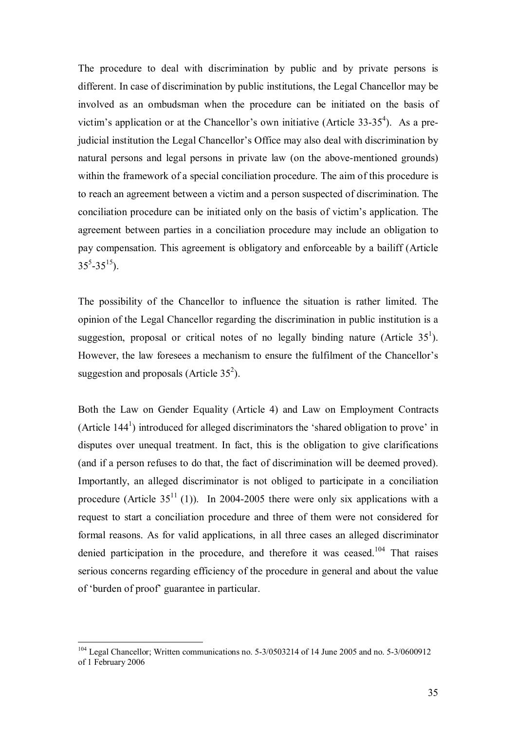The procedure to deal with discrimination by public and by private persons is different. In case of discrimination by public institutions, the Legal Chancellor may be involved as an ombudsman when the procedure can be initiated on the basis of victim's application or at the Chancellor's own initiative (Article 33-35<sup>4</sup>). As a prejudicial institution the Legal Chancellor's Office may also deal with discrimination by natural persons and legal persons in private law (on the above-mentioned grounds) within the framework of a special conciliation procedure. The aim of this procedure is to reach an agreement between a victim and a person suspected of discrimination. The conciliation procedure can be initiated only on the basis of victim's application. The agreement between parties in a conciliation procedure may include an obligation to pay compensation. This agreement is obligatory and enforceable by a bailiff (Article  $35^5 - 35^{15}$ ).

The possibility of the Chancellor to influence the situation is rather limited. The opinion of the Legal Chancellor regarding the discrimination in public institution is a suggestion, proposal or critical notes of no legally binding nature (Article  $35<sup>1</sup>$ ). However, the law foresees a mechanism to ensure the fulfilment of the Chancellor's suggestion and proposals (Article  $35^2$ ).

Both the Law on Gender Equality (Article 4) and Law on Employment Contracts (Article  $144<sup>1</sup>$ ) introduced for alleged discriminators the 'shared obligation to prove' in disputes over unequal treatment. In fact, this is the obligation to give clarifications (and if a person refuses to do that, the fact of discrimination will be deemed proved). Importantly, an alleged discriminator is not obliged to participate in a conciliation procedure (Article  $35^{11}(1)$ ). In 2004-2005 there were only six applications with a request to start a conciliation procedure and three of them were not considered for formal reasons. As for valid applications, in all three cases an alleged discriminator denied participation in the procedure, and therefore it was ceased.<sup>104</sup> That raises serious concerns regarding efficiency of the procedure in general and about the value of 'burden of proof' guarantee in particular.

<sup>&</sup>lt;sup>104</sup> Legal Chancellor; Written communications no. 5-3/0503214 of 14 June 2005 and no. 5-3/0600912 of 1 February 2006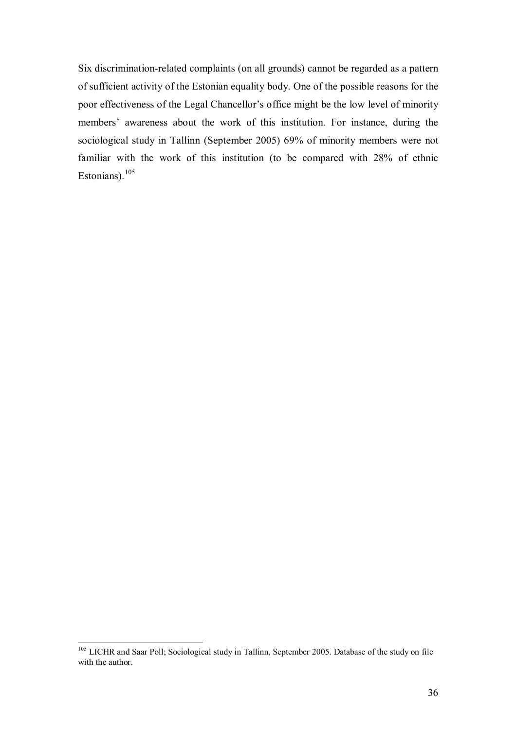Six discrimination-related complaints (on all grounds) cannot be regarded as a pattern of sufficient activity of the Estonian equality body. One of the possible reasons for the poor effectiveness of the Legal Chancellor's office might be the low level of minority members' awareness about the work of this institution. For instance, during the sociological study in Tallinn (September 2005) 69% of minority members were not familiar with the work of this institution (to be compared with 28% of ethnic Estonians). $105$ 

<sup>&</sup>lt;sup>105</sup> LICHR and Saar Poll; Sociological study in Tallinn, September 2005. Database of the study on file with the author.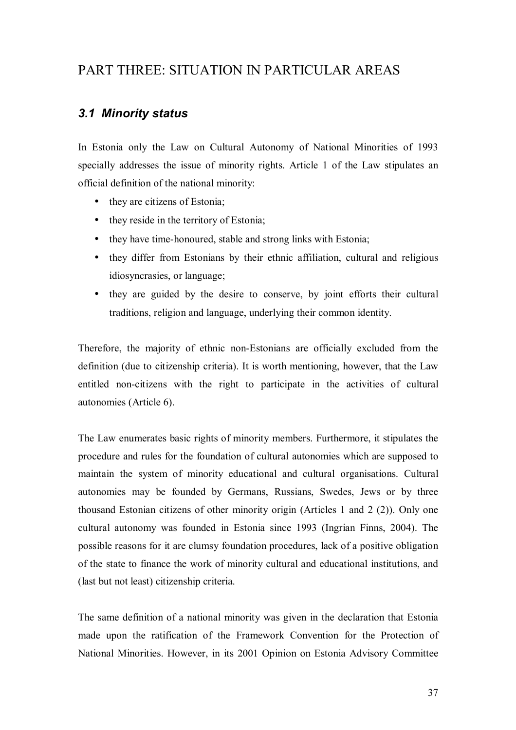# PART THREE: SITUATION IN PARTICULAR AREAS

## *3.1 Minority status*

In Estonia only the Law on Cultural Autonomy of National Minorities of 1993 specially addresses the issue of minority rights. Article 1 of the Law stipulates an official definition of the national minority:

- they are citizens of Estonia:
- they reside in the territory of Estonia;
- they have time-honoured, stable and strong links with Estonia;
- they differ from Estonians by their ethnic affiliation, cultural and religious idiosyncrasies, or language;
- they are guided by the desire to conserve, by joint efforts their cultural traditions, religion and language, underlying their common identity.

Therefore, the majority of ethnic non-Estonians are officially excluded from the definition (due to citizenship criteria). It is worth mentioning, however, that the Law entitled non-citizens with the right to participate in the activities of cultural autonomies (Article 6).

The Law enumerates basic rights of minority members. Furthermore, it stipulates the procedure and rules for the foundation of cultural autonomies which are supposed to maintain the system of minority educational and cultural organisations. Cultural autonomies may be founded by Germans, Russians, Swedes, Jews or by three thousand Estonian citizens of other minority origin (Articles 1 and 2 (2)). Only one cultural autonomy was founded in Estonia since 1993 (Ingrian Finns, 2004). The possible reasons for it are clumsy foundation procedures, lack of a positive obligation of the state to finance the work of minority cultural and educational institutions, and (last but not least) citizenship criteria.

The same definition of a national minority was given in the declaration that Estonia made upon the ratification of the Framework Convention for the Protection of National Minorities. However, in its 2001 Opinion on Estonia Advisory Committee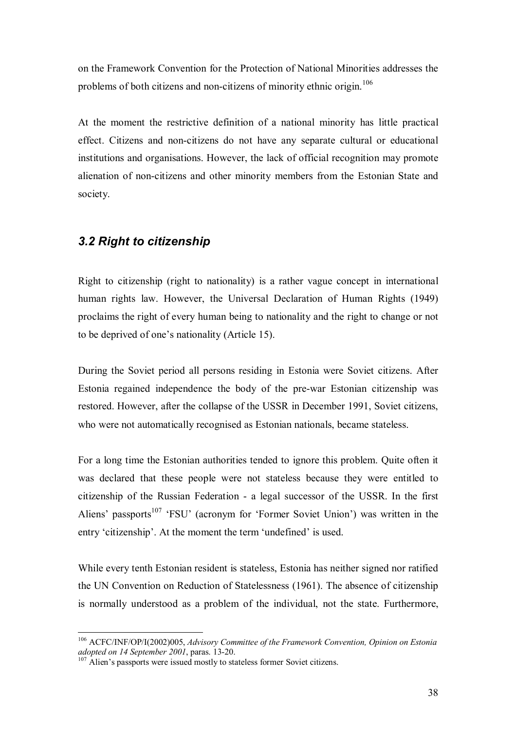on the Framework Convention for the Protection of National Minorities addresses the problems of both citizens and non-citizens of minority ethnic origin.<sup>106</sup>

At the moment the restrictive definition of a national minority has little practical effect. Citizens and non-citizens do not have any separate cultural or educational institutions and organisations. However, the lack of official recognition may promote alienation of non-citizens and other minority members from the Estonian State and society.

## *3.2 Right to citizenship*

Right to citizenship (right to nationality) is a rather vague concept in international human rights law. However, the Universal Declaration of Human Rights (1949) proclaims the right of every human being to nationality and the right to change or not to be deprived of one's nationality (Article 15).

During the Soviet period all persons residing in Estonia were Soviet citizens. After Estonia regained independence the body of the pre-war Estonian citizenship was restored. However, after the collapse of the USSR in December 1991, Soviet citizens, who were not automatically recognised as Estonian nationals, became stateless.

For a long time the Estonian authorities tended to ignore this problem. Quite often it was declared that these people were not stateless because they were entitled to citizenship of the Russian Federation - a legal successor of the USSR. In the first Aliens' passports<sup>107</sup> 'FSU' (acronym for 'Former Soviet Union') was written in the entry 'citizenship'. At the moment the term 'undefined' is used.

While every tenth Estonian resident is stateless, Estonia has neither signed nor ratified the UN Convention on Reduction of Statelessness (1961). The absence of citizenship is normally understood as a problem of the individual, not the state. Furthermore,

<sup>106</sup> ACFC/INF/OP/I(2002)005, *Advisory Committee of the Framework Convention, Opinion on Estonia adopted on 14 September 2001*, paras. 13-20.<br><sup>107</sup> Alien's passports were issued mostly to stateless former Soviet citizens.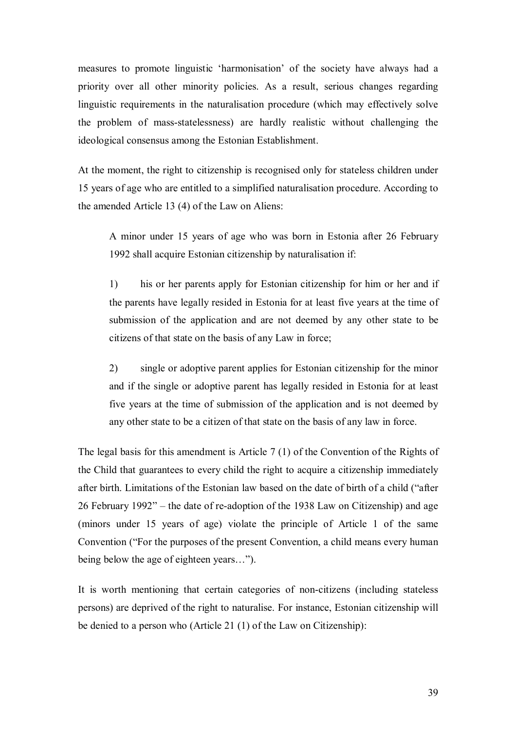measures to promote linguistic 'harmonisation' of the society have always had a priority over all other minority policies. As a result, serious changes regarding linguistic requirements in the naturalisation procedure (which may effectively solve the problem of mass-statelessness) are hardly realistic without challenging the ideological consensus among the Estonian Establishment.

At the moment, the right to citizenship is recognised only for stateless children under 15 years of age who are entitled to a simplified naturalisation procedure. According to the amended Article 13 (4) of the Law on Aliens:

A minor under 15 years of age who was born in Estonia after 26 February 1992 shall acquire Estonian citizenship by naturalisation if:

1) his or her parents apply for Estonian citizenship for him or her and if the parents have legally resided in Estonia for at least five years at the time of submission of the application and are not deemed by any other state to be citizens of that state on the basis of any Law in force;

2) single or adoptive parent applies for Estonian citizenship for the minor and if the single or adoptive parent has legally resided in Estonia for at least five years at the time of submission of the application and is not deemed by any other state to be a citizen of that state on the basis of any law in force.

The legal basis for this amendment is Article 7 (1) of the Convention of the Rights of the Child that guarantees to every child the right to acquire a citizenship immediately after birth. Limitations of the Estonian law based on the date of birth of a child ("after 26 February 1992" – the date of re-adoption of the 1938 Law on Citizenship) and age (minors under 15 years of age) violate the principle of Article 1 of the same Convention ("For the purposes of the present Convention, a child means every human being below the age of eighteen years…").

It is worth mentioning that certain categories of non-citizens (including stateless persons) are deprived of the right to naturalise. For instance, Estonian citizenship will be denied to a person who (Article 21 (1) of the Law on Citizenship):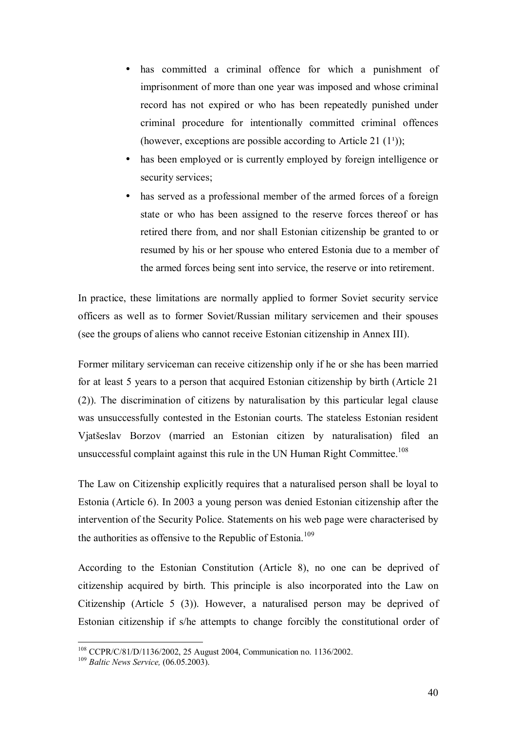- has committed a criminal offence for which a punishment of imprisonment of more than one year was imposed and whose criminal record has not expired or who has been repeatedly punished under criminal procedure for intentionally committed criminal offences (however, exceptions are possible according to Article 21  $(1^1)$ );
- has been employed or is currently employed by foreign intelligence or security services:
- has served as a professional member of the armed forces of a foreign state or who has been assigned to the reserve forces thereof or has retired there from, and nor shall Estonian citizenship be granted to or resumed by his or her spouse who entered Estonia due to a member of the armed forces being sent into service, the reserve or into retirement.

In practice, these limitations are normally applied to former Soviet security service officers as well as to former Soviet/Russian military servicemen and their spouses (see the groups of aliens who cannot receive Estonian citizenship in Annex III).

Former military serviceman can receive citizenship only if he or she has been married for at least 5 years to a person that acquired Estonian citizenship by birth (Article 21 (2)). The discrimination of citizens by naturalisation by this particular legal clause was unsuccessfully contested in the Estonian courts. The stateless Estonian resident Vjatšeslav Borzov (married an Estonian citizen by naturalisation) filed an unsuccessful complaint against this rule in the UN Human Right Committee.<sup>108</sup>

The Law on Citizenship explicitly requires that a naturalised person shall be loyal to Estonia (Article 6). In 2003 a young person was denied Estonian citizenship after the intervention of the Security Police. Statements on his web page were characterised by the authorities as offensive to the Republic of Estonia.<sup>109</sup>

According to the Estonian Constitution (Article 8), no one can be deprived of citizenship acquired by birth. This principle is also incorporated into the Law on Citizenship (Article 5 (3)). However, a naturalised person may be deprived of Estonian citizenship if s/he attempts to change forcibly the constitutional order of

<sup>108</sup> CCPR/C/81/D/1136/2002, 25 August 2004, Communication no. 1136/2002. 109 *Baltic News Service,* (06.05.2003).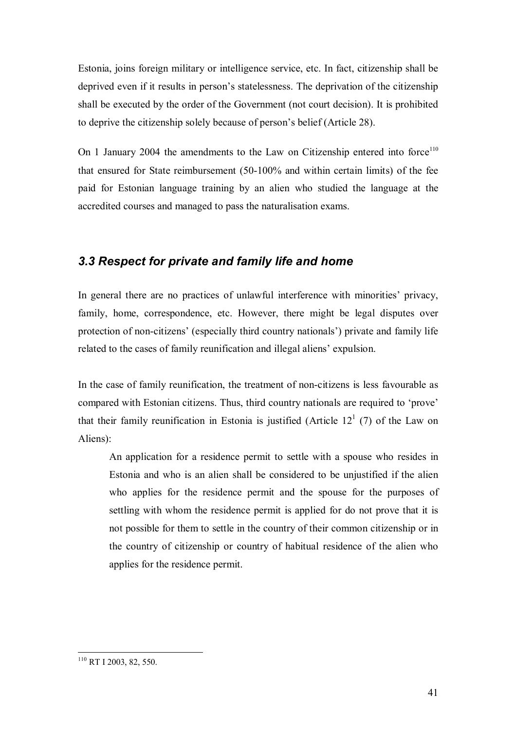Estonia, joins foreign military or intelligence service, etc. In fact, citizenship shall be deprived even if it results in person's statelessness. The deprivation of the citizenship shall be executed by the order of the Government (not court decision). It is prohibited to deprive the citizenship solely because of person's belief (Article 28).

On 1 January 2004 the amendments to the Law on Citizenship entered into force<sup>110</sup> that ensured for State reimbursement (50-100% and within certain limits) of the fee paid for Estonian language training by an alien who studied the language at the accredited courses and managed to pass the naturalisation exams.

## *3.3 Respect for private and family life and home*

In general there are no practices of unlawful interference with minorities' privacy, family, home, correspondence, etc. However, there might be legal disputes over protection of non-citizens' (especially third country nationals') private and family life related to the cases of family reunification and illegal aliens' expulsion.

In the case of family reunification, the treatment of non-citizens is less favourable as compared with Estonian citizens. Thus, third country nationals are required to 'prove' that their family reunification in Estonia is justified (Article  $12<sup>1</sup>$  (7) of the Law on Aliens):

An application for a residence permit to settle with a spouse who resides in Estonia and who is an alien shall be considered to be unjustified if the alien who applies for the residence permit and the spouse for the purposes of settling with whom the residence permit is applied for do not prove that it is not possible for them to settle in the country of their common citizenship or in the country of citizenship or country of habitual residence of the alien who applies for the residence permit.

 $\overline{a}$ <sup>110</sup> RT I 2003, 82, 550.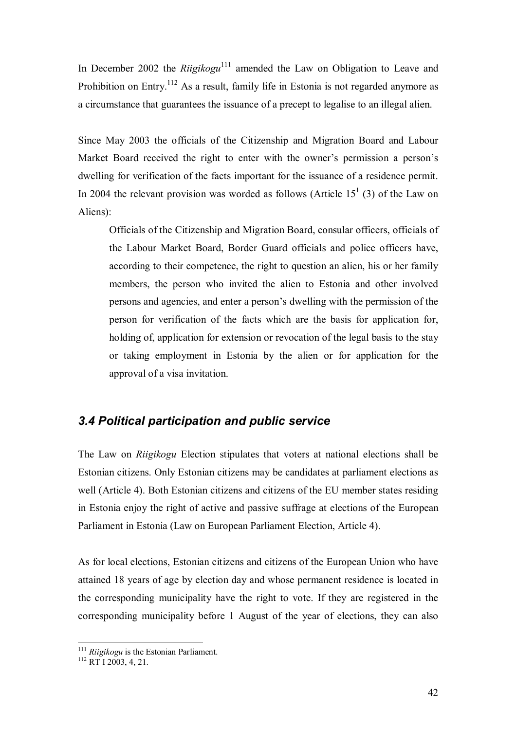In December 2002 the *Riigikogu*<sup>111</sup> amended the Law on Obligation to Leave and Prohibition on Entry.<sup>112</sup> As a result, family life in Estonia is not regarded anymore as a circumstance that guarantees the issuance of a precept to legalise to an illegal alien.

Since May 2003 the officials of the Citizenship and Migration Board and Labour Market Board received the right to enter with the owner's permission a person's dwelling for verification of the facts important for the issuance of a residence permit. In 2004 the relevant provision was worded as follows (Article  $15<sup>1</sup>$  (3) of the Law on Aliens):

Officials of the Citizenship and Migration Board, consular officers, officials of the Labour Market Board, Border Guard officials and police officers have, according to their competence, the right to question an alien, his or her family members, the person who invited the alien to Estonia and other involved persons and agencies, and enter a person's dwelling with the permission of the person for verification of the facts which are the basis for application for, holding of, application for extension or revocation of the legal basis to the stay or taking employment in Estonia by the alien or for application for the approval of a visa invitation.

## *3.4 Political participation and public service*

The Law on *Riigikogu* Election stipulates that voters at national elections shall be Estonian citizens. Only Estonian citizens may be candidates at parliament elections as well (Article 4). Both Estonian citizens and citizens of the EU member states residing in Estonia enjoy the right of active and passive suffrage at elections of the European Parliament in Estonia (Law on European Parliament Election, Article 4).

As for local elections, Estonian citizens and citizens of the European Union who have attained 18 years of age by election day and whose permanent residence is located in the corresponding municipality have the right to vote. If they are registered in the corresponding municipality before 1 August of the year of elections, they can also

<sup>&</sup>lt;sup>111</sup> *Riigikogu* is the Estonian Parliament.<br><sup>112</sup> RT I 2003, 4, 21.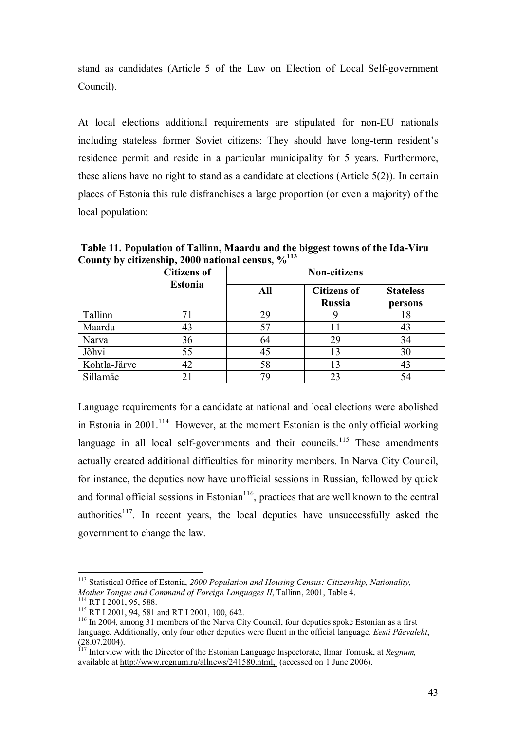stand as candidates (Article 5 of the Law on Election of Local Self-government Council).

At local elections additional requirements are stipulated for non-EU nationals including stateless former Soviet citizens: They should have long-term resident's residence permit and reside in a particular municipality for 5 years. Furthermore, these aliens have no right to stand as a candidate at elections (Article 5(2)). In certain places of Estonia this rule disfranchises a large proportion (or even a majority) of the local population:

 **Table 11. Population of Tallinn, Maardu and the biggest towns of the Ida-Viru County by citizenship, 2000 national census, %113**

|              | <b>Citizens of</b> | <b>Non-citizens</b> |                                     |                             |  |
|--------------|--------------------|---------------------|-------------------------------------|-----------------------------|--|
|              | <b>Estonia</b>     | All                 | <b>Citizens of</b><br><b>Russia</b> | <b>Stateless</b><br>persons |  |
| Tallinn      | 71                 | 29                  |                                     | 18                          |  |
| Maardu       | 43                 | 57                  | 11                                  | 43                          |  |
| Narva        | 36                 | 64                  | 29                                  | 34                          |  |
| Jõhvi        | 55                 | 45                  | 13                                  | 30                          |  |
| Kohtla-Järve | 42                 | 58                  | 13                                  | 43                          |  |
| Sillamäe     | 21                 | 79                  | 23                                  |                             |  |

Language requirements for a candidate at national and local elections were abolished in Estonia in 2001.<sup>114</sup> However, at the moment Estonian is the only official working language in all local self-governments and their councils.<sup>115</sup> These amendments actually created additional difficulties for minority members. In Narva City Council, for instance, the deputies now have unofficial sessions in Russian, followed by quick and formal official sessions in Estonian $116$ , practices that are well known to the central authorities<sup>117</sup>. In recent years, the local deputies have unsuccessfully asked the government to change the law.

<sup>&</sup>lt;sup>113</sup> Statistical Office of Estonia, 2000 Population and Housing Census: Citizenship, Nationality, Mother Tongue and Command of Foreign Languages II, Tallinn, 2001, Table 4.

<sup>&</sup>lt;sup>114</sup> RT I 2001, 95, 588.<br><sup>115</sup> RT I 2001, 94, 581 and RT I 2001, 100, 642.<br><sup>116</sup> In 2004, among 31 members of the Narva City Council, four deputies spoke Estonian as a first language. Additionally, only four other deputies were fluent in the official language*. Eesti Päevaleht*, (28.07.2004).

<sup>117</sup> Interview with the Director of the Estonian Language Inspectorate, Ilmar Tomusk, at *Regnum,* available at http://www.regnum.ru/allnews/241580.html, (accessed on 1 June 2006).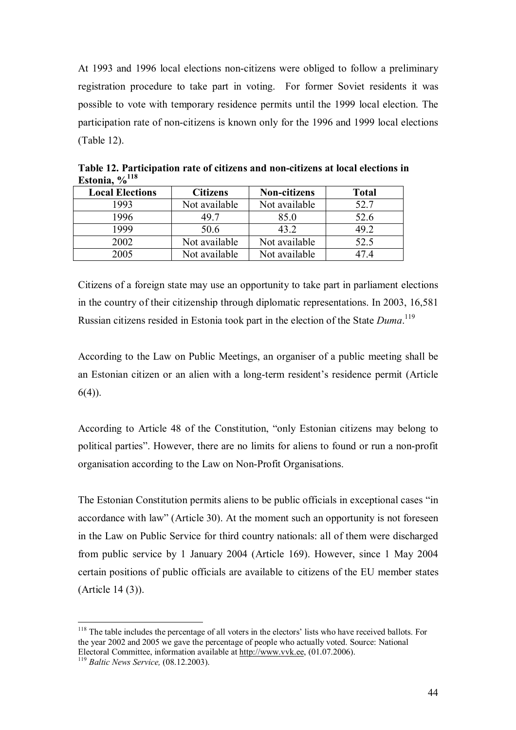At 1993 and 1996 local elections non-citizens were obliged to follow a preliminary registration procedure to take part in voting. For former Soviet residents it was possible to vote with temporary residence permits until the 1999 local election. The participation rate of non-citizens is known only for the 1996 and 1999 local elections (Table 12).

| $\mathbf{v}$           |                 |                     |              |
|------------------------|-----------------|---------------------|--------------|
| <b>Local Elections</b> | <b>Citizens</b> | <b>Non-citizens</b> | <b>Total</b> |
| 1993                   | Not available   | Not available       | 52.7         |
| 1996                   | 49 7            | 85.0                | 52.6         |
| 1999                   | 50.6            | 43.2                | 49.2         |
| 2002                   | Not available   | Not available       | 52.5         |
| 2005                   | Not available   | Not available       |              |

**Table 12. Participation rate of citizens and non-citizens at local elections in Estonia, %118**

Citizens of a foreign state may use an opportunity to take part in parliament elections in the country of their citizenship through diplomatic representations. In 2003, 16,581 Russian citizens resided in Estonia took part in the election of the State *Duma*. 119

According to the Law on Public Meetings, an organiser of a public meeting shall be an Estonian citizen or an alien with a long-term resident's residence permit (Article 6(4)).

According to Article 48 of the Constitution, "only Estonian citizens may belong to political parties". However, there are no limits for aliens to found or run a non-profit organisation according to the Law on Non-Profit Organisations.

The Estonian Constitution permits aliens to be public officials in exceptional cases "in accordance with law" (Article 30). At the moment such an opportunity is not foreseen in the Law on Public Service for third country nationals: all of them were discharged from public service by 1 January 2004 (Article 169). However, since 1 May 2004 certain positions of public officials are available to citizens of the EU member states (Article 14 (3)).

<sup>&</sup>lt;sup>118</sup> The table includes the percentage of all voters in the electors' lists who have received ballots. For the year 2002 and 2005 we gave the percentage of people who actually voted. Source: National Electoral Committee, information available at http://www.vvk.ee, (01.07.2006). 119 *Baltic News Service,* (08.12.2003).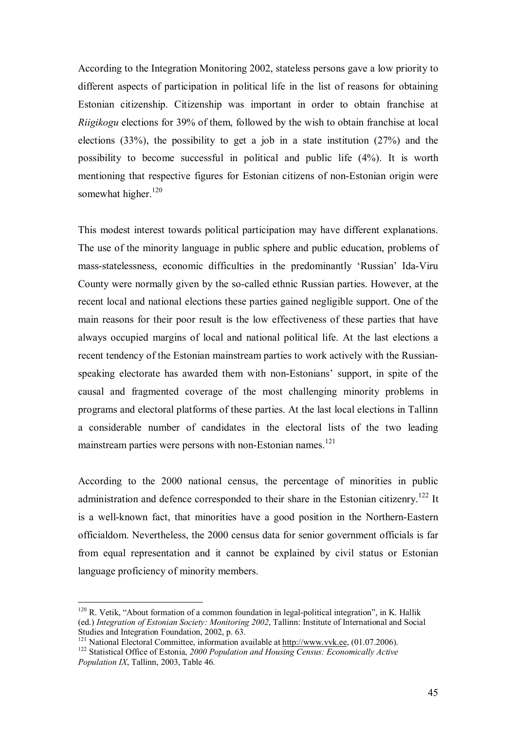According to the Integration Monitoring 2002, stateless persons gave a low priority to different aspects of participation in political life in the list of reasons for obtaining Estonian citizenship. Citizenship was important in order to obtain franchise at *Riigikogu* elections for 39% of them, followed by the wish to obtain franchise at local elections (33%), the possibility to get a job in a state institution (27%) and the possibility to become successful in political and public life (4%). It is worth mentioning that respective figures for Estonian citizens of non-Estonian origin were somewhat higher.<sup>120</sup>

This modest interest towards political participation may have different explanations. The use of the minority language in public sphere and public education, problems of mass-statelessness, economic difficulties in the predominantly 'Russian' Ida-Viru County were normally given by the so-called ethnic Russian parties. However, at the recent local and national elections these parties gained negligible support. One of the main reasons for their poor result is the low effectiveness of these parties that have always occupied margins of local and national political life. At the last elections a recent tendency of the Estonian mainstream parties to work actively with the Russianspeaking electorate has awarded them with non-Estonians' support, in spite of the causal and fragmented coverage of the most challenging minority problems in programs and electoral platforms of these parties. At the last local elections in Tallinn a considerable number of candidates in the electoral lists of the two leading mainstream parties were persons with non-Estonian names.<sup>121</sup>

According to the 2000 national census, the percentage of minorities in public administration and defence corresponded to their share in the Estonian citizenry.<sup>122</sup> It is a well-known fact, that minorities have a good position in the Northern-Eastern officialdom. Nevertheless, the 2000 census data for senior government officials is far from equal representation and it cannot be explained by civil status or Estonian language proficiency of minority members.

 $120$  R. Vetik, "About formation of a common foundation in legal-political integration", in K. Hallik (ed.) *Integration of Estonian Society: Monitoring 2002*, Tallinn: Institute of International and Social Studies and Integration Foundation, 2002, p. 63.<br><sup>121</sup> National Electoral Committee, information available at http://www.vvk.ee, (01.07.2006).

<sup>&</sup>lt;sup>122</sup> Statistical Office of Estonia, 2000 Population and Housing Census: Economically Active *Population IX*, Tallinn, 2003, Table 46.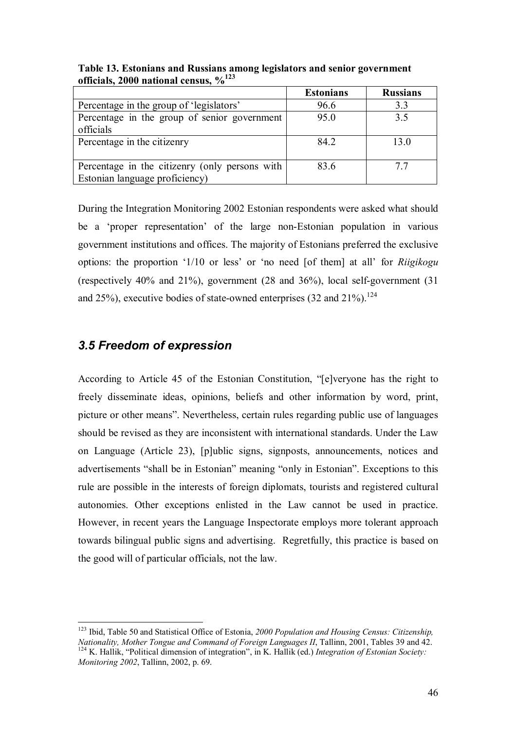|                                                | <b>Estonians</b> | <b>Russians</b> |
|------------------------------------------------|------------------|-----------------|
| Percentage in the group of 'legislators'       | 96.6             | 3.3             |
| Percentage in the group of senior government   | 95.0             | 3.5             |
| officials                                      |                  |                 |
| Percentage in the citizenry                    | 84.2             | 13.0            |
|                                                |                  |                 |
| Percentage in the citizenry (only persons with | 83.6             | 77              |
| Estonian language proficiency)                 |                  |                 |

**Table 13. Estonians and Russians among legislators and senior government officials, 2000 national census, %123**

During the Integration Monitoring 2002 Estonian respondents were asked what should be a 'proper representation' of the large non-Estonian population in various government institutions and offices. The majority of Estonians preferred the exclusive options: the proportion '1/10 or less' or 'no need [of them] at all' for *Riigikogu* (respectively 40% and 21%), government (28 and 36%), local self-government (31 and 25%), executive bodies of state-owned enterprises  $(32 \text{ and } 21\%)$ .<sup>124</sup>

### *3.5 Freedom of expression*

 $\overline{a}$ 

According to Article 45 of the Estonian Constitution, "[e]veryone has the right to freely disseminate ideas, opinions, beliefs and other information by word, print, picture or other means". Nevertheless, certain rules regarding public use of languages should be revised as they are inconsistent with international standards. Under the Law on Language (Article 23), [p]ublic signs, signposts, announcements, notices and advertisements "shall be in Estonian" meaning "only in Estonian". Exceptions to this rule are possible in the interests of foreign diplomats, tourists and registered cultural autonomies. Other exceptions enlisted in the Law cannot be used in practice. However, in recent years the Language Inspectorate employs more tolerant approach towards bilingual public signs and advertising. Regretfully, this practice is based on the good will of particular officials, not the law.

<sup>123</sup> Ibid, Table 50 and Statistical Office of Estonia, *2000 Population and Housing Census: Citizenship, Nationality, Mother Tongue and Command of Foreign Languages II*, Tallinn, 2001, Tables 39 and 42. <sup>124</sup> K. Hallik, "Political dimension of integration", in K. Hallik (ed.) *Integration of Estonian Society*: *Monitoring 2002*, Tallinn, 2002, p. 69.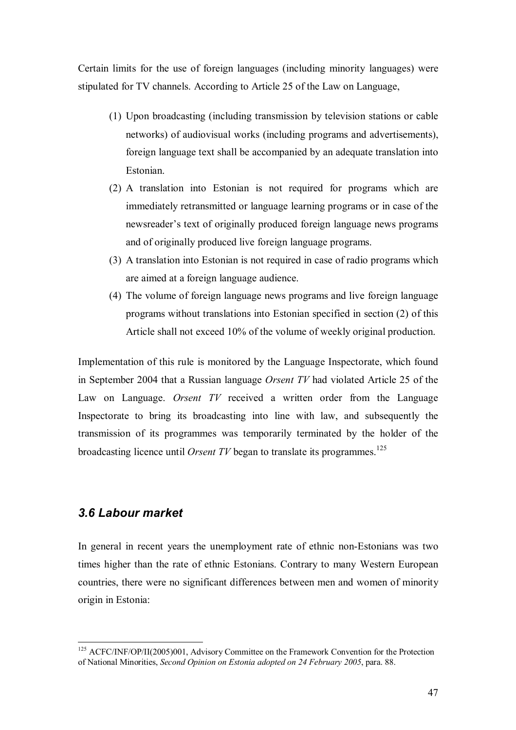Certain limits for the use of foreign languages (including minority languages) were stipulated for TV channels. According to Article 25 of the Law on Language,

- (1) Upon broadcasting (including transmission by television stations or cable networks) of audiovisual works (including programs and advertisements), foreign language text shall be accompanied by an adequate translation into Estonian.
- (2) A translation into Estonian is not required for programs which are immediately retransmitted or language learning programs or in case of the newsreader's text of originally produced foreign language news programs and of originally produced live foreign language programs.
- (3) A translation into Estonian is not required in case of radio programs which are aimed at a foreign language audience.
- (4) The volume of foreign language news programs and live foreign language programs without translations into Estonian specified in section (2) of this Article shall not exceed 10% of the volume of weekly original production.

Implementation of this rule is monitored by the Language Inspectorate, which found in September 2004 that a Russian language *Orsent TV* had violated Article 25 of the Law on Language. *Orsent TV* received a written order from the Language Inspectorate to bring its broadcasting into line with law, and subsequently the transmission of its programmes was temporarily terminated by the holder of the broadcasting licence until *Orsent TV* began to translate its programmes.<sup>125</sup>

### *3.6 Labour market*

 $\overline{a}$ 

In general in recent years the unemployment rate of ethnic non-Estonians was two times higher than the rate of ethnic Estonians. Contrary to many Western European countries, there were no significant differences between men and women of minority origin in Estonia:

<sup>&</sup>lt;sup>125</sup> ACFC/INF/OP/II(2005)001, Advisory Committee on the Framework Convention for the Protection of National Minorities, *Second Opinion on Estonia adopted on 24 February 2005*, para. 88.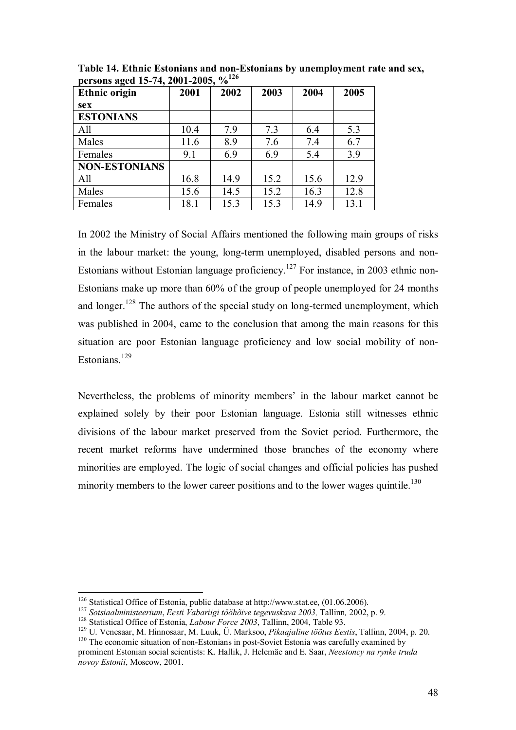| -<br><b>Ethnic origin</b> | 2001 | 2002 | 2003 | 2004 | 2005 |
|---------------------------|------|------|------|------|------|
| sex                       |      |      |      |      |      |
| <b>ESTONIANS</b>          |      |      |      |      |      |
| All                       | 10.4 | 7.9  | 7.3  | 6.4  | 5.3  |
| Males                     | 11.6 | 8.9  | 7.6  | 7.4  | 6.7  |
| Females                   | 9.1  | 6.9  | 6.9  | 5.4  | 3.9  |
| <b>NON-ESTONIANS</b>      |      |      |      |      |      |
| All                       | 16.8 | 14.9 | 15.2 | 15.6 | 12.9 |
| Males                     | 15.6 | 14.5 | 15.2 | 16.3 | 12.8 |
| Females                   | 18.1 | 15.3 | 15.3 | 14.9 | 13.1 |

**Table 14. Ethnic Estonians and non-Estonians by unemployment rate and sex, persons aged 15-74, 2001-2005, %126**

In 2002 the Ministry of Social Affairs mentioned the following main groups of risks in the labour market: the young, long-term unemployed, disabled persons and non-Estonians without Estonian language proficiency.<sup>127</sup> For instance, in 2003 ethnic non-Estonians make up more than 60% of the group of people unemployed for 24 months and longer.<sup>128</sup> The authors of the special study on long-termed unemployment, which was published in 2004, came to the conclusion that among the main reasons for this situation are poor Estonian language proficiency and low social mobility of non-Estonians.129

Nevertheless, the problems of minority members' in the labour market cannot be explained solely by their poor Estonian language. Estonia still witnesses ethnic divisions of the labour market preserved from the Soviet period. Furthermore, the recent market reforms have undermined those branches of the economy where minorities are employed. The logic of social changes and official policies has pushed minority members to the lower career positions and to the lower wages quintile.<sup>130</sup>

<sup>&</sup>lt;sup>126</sup> Statistical Office of Estonia, public database at http://www.stat.ee, (01.06.2006).<br><sup>127</sup> Sotsiaalministeerium, Eesti Vabariigi tööhõive tegevuskava 2003, Tallinn, 2002, p. 9.<br><sup>128</sup> Statistical Office of Estonia, *L* 

prominent Estonian social scientists: K. Hallik, J. Helemäe and E. Saar, *Neestoncy na rynke truda novoy Estonii*, Moscow, 2001.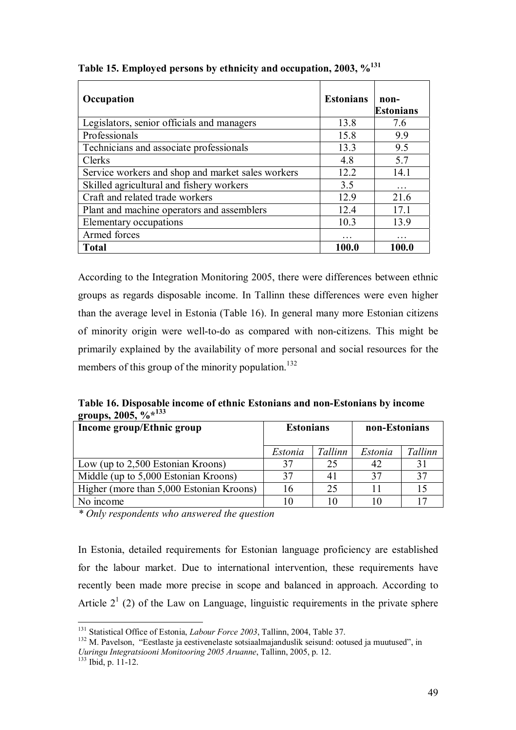| Occupation                                        | <b>Estonians</b> | non-<br><b>Estonians</b> |
|---------------------------------------------------|------------------|--------------------------|
| Legislators, senior officials and managers        | 13.8             | 7.6                      |
| Professionals                                     | 15.8             | 9.9                      |
| Technicians and associate professionals           | 13.3             | 9.5                      |
| Clerks                                            | 4.8              | 5.7                      |
| Service workers and shop and market sales workers | 12.2             | 14.1                     |
| Skilled agricultural and fishery workers          | 3.5              |                          |
| Craft and related trade workers                   | 12.9             | 21.6                     |
| Plant and machine operators and assemblers        | 12.4             | 17.1                     |
| Elementary occupations                            | 10.3             | 13.9                     |
| Armed forces                                      | $\ddotsc$        | .                        |
| <b>Total</b>                                      | 100.0            | 100.0                    |

**Table 15. Employed persons by ethnicity and occupation, 2003, %131**

According to the Integration Monitoring 2005, there were differences between ethnic groups as regards disposable income. In Tallinn these differences were even higher than the average level in Estonia (Table 16). In general many more Estonian citizens of minority origin were well-to-do as compared with non-citizens. This might be primarily explained by the availability of more personal and social resources for the members of this group of the minority population.<sup>132</sup>

**Table 16. Disposable income of ethnic Estonians and non-Estonians by income groups, 2005, %\*133**

| Income group/Ethnic group                | <b>Estonians</b> |         | non-Estonians |         |
|------------------------------------------|------------------|---------|---------------|---------|
|                                          |                  |         |               |         |
|                                          | Estonia          | Tallinn | Estonia       | Tallinn |
| Low (up to 2,500 Estonian Kroons)        | 37               | 25      |               | 31      |
| Middle (up to 5,000 Estonian Kroons)     | 37               | 41      | 37            | 37      |
| Higher (more than 5,000 Estonian Kroons) | 16               | 25      |               | 15      |
| No income                                |                  | 10      |               |         |

*\* Only respondents who answered the question* 

In Estonia, detailed requirements for Estonian language proficiency are established for the labour market. Due to international intervention, these requirements have recently been made more precise in scope and balanced in approach. According to Article  $2<sup>1</sup>$  (2) of the Law on Language, linguistic requirements in the private sphere

<sup>&</sup>lt;sup>131</sup> Statistical Office of Estonia, *Labour Force 2003*, Tallinn, 2004, Table 37.

<sup>&</sup>lt;sup>132</sup> M. Pavelson, "Eestlaste ja eestivenelaste sotsiaalmajanduslik seisund: ootused ja muutused", in *Uuringu Integratsiooni Monitooring 2005 Aruanne*, Tallinn, 2005, p. 12.<br><sup>133</sup> Ibid. p. 11-12.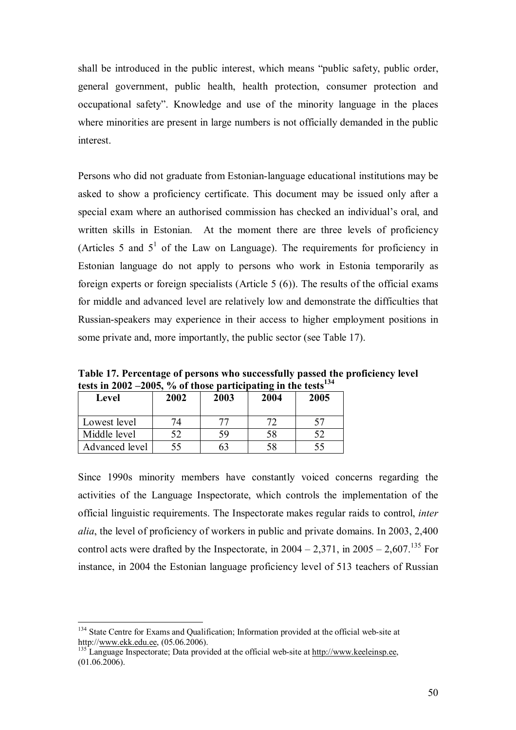shall be introduced in the public interest, which means "public safety, public order, general government, public health, health protection, consumer protection and occupational safety". Knowledge and use of the minority language in the places where minorities are present in large numbers is not officially demanded in the public interest.

Persons who did not graduate from Estonian-language educational institutions may be asked to show a proficiency certificate. This document may be issued only after a special exam where an authorised commission has checked an individual's oral, and written skills in Estonian. At the moment there are three levels of proficiency (Articles 5 and  $5<sup>1</sup>$  of the Law on Language). The requirements for proficiency in Estonian language do not apply to persons who work in Estonia temporarily as foreign experts or foreign specialists (Article 5 (6)). The results of the official exams for middle and advanced level are relatively low and demonstrate the difficulties that Russian-speakers may experience in their access to higher employment positions in some private and, more importantly, the public sector (see Table 17).

**Table 17. Percentage of persons who successfully passed the proficiency level**  tests in 2002 –2005, % of those participating in the tests<sup>134</sup>

| <b>Level</b>   | 2002 | 2003 | 2004 | 2005 |
|----------------|------|------|------|------|
| Lowest level   | 74   |      |      |      |
| Middle level   | 52   |      | 58   |      |
| Advanced level | 55   |      | 58   | 55   |

Since 1990s minority members have constantly voiced concerns regarding the activities of the Language Inspectorate, which controls the implementation of the official linguistic requirements. The Inspectorate makes regular raids to control, *inter alia*, the level of proficiency of workers in public and private domains. In 2003, 2,400 control acts were drafted by the Inspectorate, in  $2004 - 2,371$ , in  $2005 - 2,607$ .<sup>135</sup> For instance, in 2004 the Estonian language proficiency level of 513 teachers of Russian

<sup>&</sup>lt;sup>134</sup> State Centre for Exams and Qualification; Information provided at the official web-site at http://<u>www.ekk.edu.ee</u>, (05.06.2006).<br><sup>135</sup> Language Inspectorate; Data provided at the official web-site at http://www.keeleinsp.ee,

 $(01.06.2006)$ .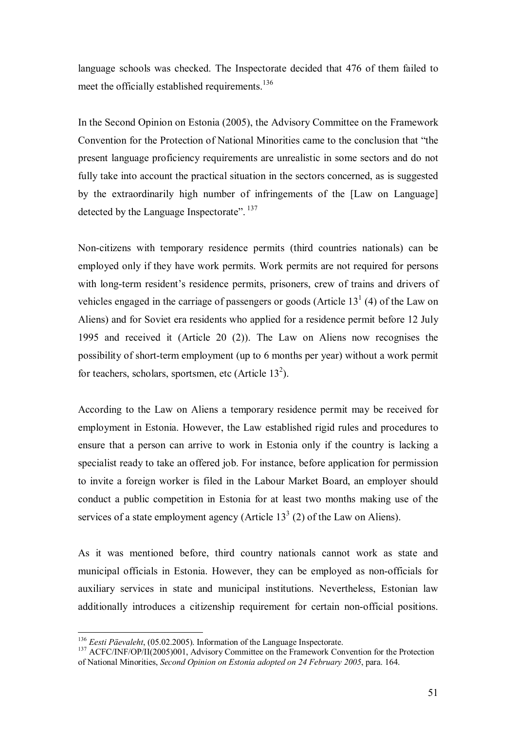language schools was checked. The Inspectorate decided that 476 of them failed to meet the officially established requirements.<sup>136</sup>

In the Second Opinion on Estonia (2005), the Advisory Committee on the Framework Convention for the Protection of National Minorities came to the conclusion that "the present language proficiency requirements are unrealistic in some sectors and do not fully take into account the practical situation in the sectors concerned, as is suggested by the extraordinarily high number of infringements of the [Law on Language] detected by the Language Inspectorate".<sup>137</sup>

Non-citizens with temporary residence permits (third countries nationals) can be employed only if they have work permits. Work permits are not required for persons with long-term resident's residence permits, prisoners, crew of trains and drivers of vehicles engaged in the carriage of passengers or goods (Article  $13<sup>1</sup>$  (4) of the Law on Aliens) and for Soviet era residents who applied for a residence permit before 12 July 1995 and received it (Article 20 (2)). The Law on Aliens now recognises the possibility of short-term employment (up to 6 months per year) without a work permit for teachers, scholars, sportsmen, etc (Article  $13<sup>2</sup>$ ).

According to the Law on Aliens a temporary residence permit may be received for employment in Estonia. However, the Law established rigid rules and procedures to ensure that a person can arrive to work in Estonia only if the country is lacking a specialist ready to take an offered job. For instance, before application for permission to invite a foreign worker is filed in the Labour Market Board, an employer should conduct a public competition in Estonia for at least two months making use of the services of a state employment agency (Article  $13<sup>3</sup>$  (2) of the Law on Aliens).

As it was mentioned before, third country nationals cannot work as state and municipal officials in Estonia. However, they can be employed as non-officials for auxiliary services in state and municipal institutions. Nevertheless, Estonian law additionally introduces a citizenship requirement for certain non-official positions.

 $136$  Eesti Päevaleht, (05.02.2005). Information of the Language Inspectorate.

<sup>&</sup>lt;sup>137</sup> ACFC/INF/OP/II(2005)001, Advisory Committee on the Framework Convention for the Protection of National Minorities, *Second Opinion on Estonia adopted on 24 February 2005*, para. 164.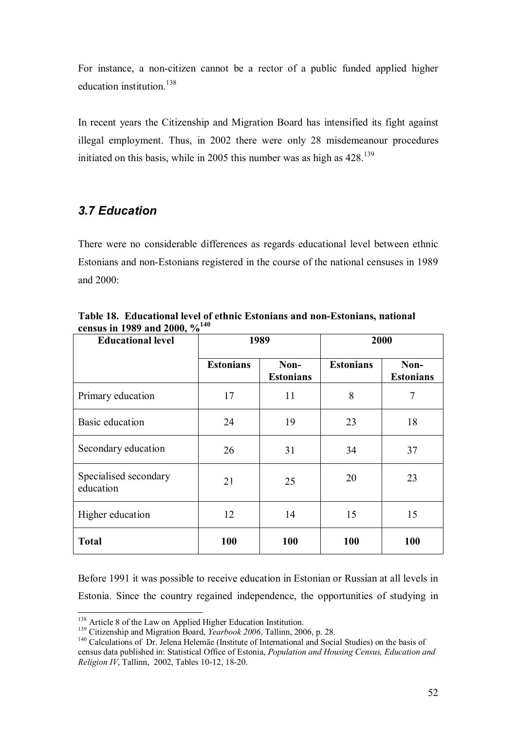For instance, a non-citizen cannot be a rector of a public funded applied higher education institution  $^{138}$ 

In recent years the Citizenship and Migration Board has intensified its fight against illegal employment. Thus, in 2002 there were only 28 misdemeanour procedures initiated on this basis, while in 2005 this number was as high as  $428$ .<sup>139</sup>

## *3.7 Education*

There were no considerable differences as regards educational level between ethnic Estonians and non-Estonians registered in the course of the national censuses in 1989 and 2000:

| <b>Educational level</b>           | 1989             |                          |                  | 2000                     |
|------------------------------------|------------------|--------------------------|------------------|--------------------------|
|                                    | <b>Estonians</b> | Non-<br><b>Estonians</b> | <b>Estonians</b> | Non-<br><b>Estonians</b> |
| Primary education                  | 17               | 11                       | 8                | 7                        |
| Basic education                    | 24               | 19                       | 23               | 18                       |
| Secondary education                | 26               | 31                       | 34               | 37                       |
| Specialised secondary<br>education | 21               | 25                       | 20               | 23                       |
| Higher education                   | 12               | 14                       | 15               | 15                       |
| <b>Total</b>                       | 100              | 100                      | 100              | 100                      |

**Table 18. Educational level of ethnic Estonians and non-Estonians, national census in 1989 and 2000, %140**

Before 1991 it was possible to receive education in Estonian or Russian at all levels in Estonia. Since the country regained independence, the opportunities of studying in

<sup>&</sup>lt;sup>138</sup> Article 8 of the Law on Applied Higher Education Institution.

<sup>&</sup>lt;sup>139</sup> Citizenship and Migration Board, *Yearbook 2006*, Tallinn, 2006, p. 28.<br><sup>140</sup> Calculations of Dr. Jelena Helemäe (Institute of International and Social Studies) on the basis of census data published in: Statistical Office of Estonia, *Population and Housing Census, Education and Religion IV*, Tallinn, 2002, Tables 10-12, 18-20.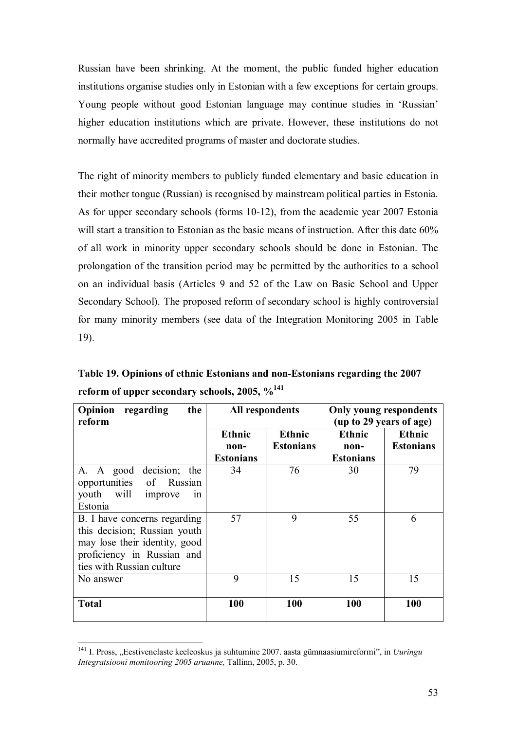Russian have been shrinking. At the moment, the public funded higher education institutions organise studies only in Estonian with a few exceptions for certain groups. Young people without good Estonian language may continue studies in 'Russian' higher education institutions which are private. However, these institutions do not normally have accredited programs of master and doctorate studies.

The right of minority members to publicly funded elementary and basic education in their mother tongue (Russian) is recognised by mainstream political parties in Estonia. As for upper secondary schools (forms 10-12), from the academic year 2007 Estonia will start a transition to Estonian as the basic means of instruction. After this date 60% of all work in minority upper secondary schools should be done in Estonian. The prolongation of the transition period may be permitted by the authorities to a school on an individual basis (Articles 9 and 52 of the Law on Basic School and Upper Secondary School). The proposed reform of secondary school is highly controversial for many minority members (see data of the Integration Monitoring 2005 in Table 19).

**Table 19. Opinions of ethnic Estonians and non-Estonians regarding the 2007 reform of upper secondary schools, 2005, %141**

| Opinion<br>regarding<br>the<br>reform                                                                                                                    | All respondents                           |                                   | <b>Only young respondents</b><br>(up to 29 years of age) |                                   |
|----------------------------------------------------------------------------------------------------------------------------------------------------------|-------------------------------------------|-----------------------------------|----------------------------------------------------------|-----------------------------------|
|                                                                                                                                                          | <b>Ethnic</b><br>non-<br><b>Estonians</b> | <b>Ethnic</b><br><b>Estonians</b> | <b>Ethnic</b><br>non-<br><b>Estonians</b>                | <b>Ethnic</b><br><b>Estonians</b> |
| A. A good decision; the<br>opportunities<br>of Russian<br>youth will<br>improve<br>1n<br>Estonia                                                         | 34                                        | 76                                | 30                                                       | 79                                |
| B. I have concerns regarding<br>this decision; Russian youth<br>may lose their identity, good<br>proficiency in Russian and<br>ties with Russian culture | 57                                        | 9                                 | 55                                                       | 6                                 |
| No answer                                                                                                                                                | 9                                         | 15                                | 15                                                       | 15                                |
| <b>Total</b>                                                                                                                                             | 100                                       | <b>100</b>                        | <b>100</b>                                               | <b>100</b>                        |

<sup>&</sup>lt;sup>141</sup> I. Pross, "Eestivenelaste keeleoskus ja suhtumine 2007. aasta gümnaasiumireformi", in *Uuringu Integratsiooni monitooring 2005 aruanne,* Tallinn, 2005, p. 30.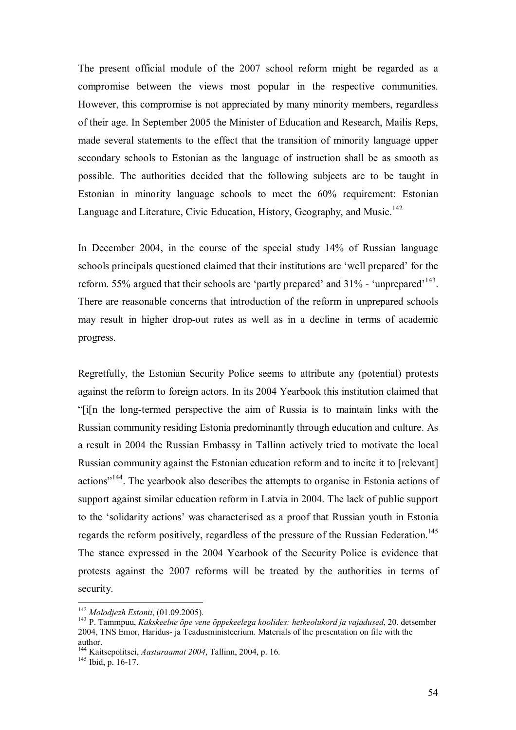The present official module of the 2007 school reform might be regarded as a compromise between the views most popular in the respective communities. However, this compromise is not appreciated by many minority members, regardless of their age. In September 2005 the Minister of Education and Research, Mailis Reps, made several statements to the effect that the transition of minority language upper secondary schools to Estonian as the language of instruction shall be as smooth as possible. The authorities decided that the following subjects are to be taught in Estonian in minority language schools to meet the 60% requirement: Estonian Language and Literature, Civic Education, History, Geography, and Music.<sup>142</sup>

In December 2004, in the course of the special study 14% of Russian language schools principals questioned claimed that their institutions are 'well prepared' for the reform. 55% argued that their schools are 'partly prepared' and 31% - 'unprepared'143. There are reasonable concerns that introduction of the reform in unprepared schools may result in higher drop-out rates as well as in a decline in terms of academic progress.

Regretfully, the Estonian Security Police seems to attribute any (potential) protests against the reform to foreign actors. In its 2004 Yearbook this institution claimed that "[i[n the long-termed perspective the aim of Russia is to maintain links with the Russian community residing Estonia predominantly through education and culture. As a result in 2004 the Russian Embassy in Tallinn actively tried to motivate the local Russian community against the Estonian education reform and to incite it to [relevant] actions"144. The yearbook also describes the attempts to organise in Estonia actions of support against similar education reform in Latvia in 2004. The lack of public support to the 'solidarity actions' was characterised as a proof that Russian youth in Estonia regards the reform positively, regardless of the pressure of the Russian Federation.<sup>145</sup> The stance expressed in the 2004 Yearbook of the Security Police is evidence that protests against the 2007 reforms will be treated by the authorities in terms of security.

 $142$  Molodjezh Estonii, (01.09.2005).

<sup>&</sup>lt;sup>143</sup> P. Tammpuu, *Kakskeelne õpe vene õppekeelega koolides: hetkeolukord ja vajadused*, 20. detsember 2004, TNS Emor, Haridus- ja Teadusministeerium. Materials of the presentation on file with the author.

<sup>144</sup> Kaitsepolitsei, *Aastaraamat <sup>2004</sup>*, Tallinn, 2004, p. 16. 145 Ibid, p. 16-17.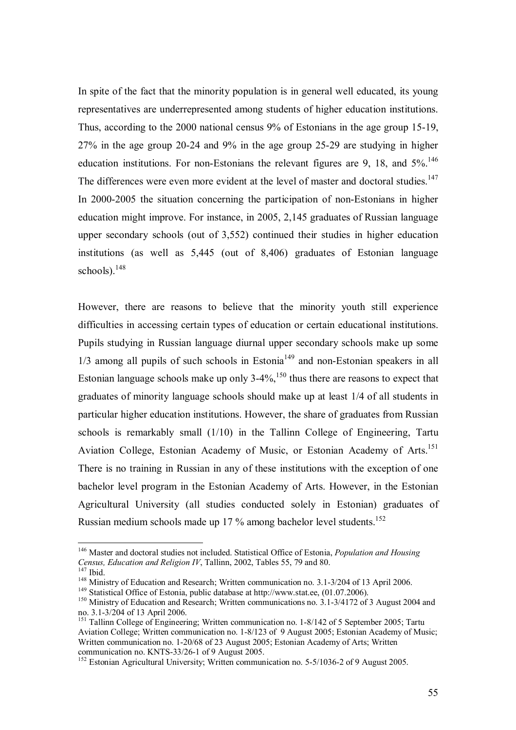In spite of the fact that the minority population is in general well educated, its young representatives are underrepresented among students of higher education institutions. Thus, according to the 2000 national census 9% of Estonians in the age group 15-19, 27% in the age group 20-24 and 9% in the age group 25-29 are studying in higher education institutions. For non-Estonians the relevant figures are 9, 18, and  $5\%$ .<sup>146</sup> The differences were even more evident at the level of master and doctoral studies.<sup>147</sup> In 2000-2005 the situation concerning the participation of non-Estonians in higher education might improve. For instance, in 2005, 2,145 graduates of Russian language upper secondary schools (out of 3,552) continued their studies in higher education institutions (as well as 5,445 (out of 8,406) graduates of Estonian language schools).<sup>148</sup>

However, there are reasons to believe that the minority youth still experience difficulties in accessing certain types of education or certain educational institutions. Pupils studying in Russian language diurnal upper secondary schools make up some 1/3 among all pupils of such schools in Estonia<sup>149</sup> and non-Estonian speakers in all Estonian language schools make up only  $3-4\%$ ,<sup>150</sup> thus there are reasons to expect that graduates of minority language schools should make up at least 1/4 of all students in particular higher education institutions. However, the share of graduates from Russian schools is remarkably small (1/10) in the Tallinn College of Engineering, Tartu Aviation College, Estonian Academy of Music, or Estonian Academy of Arts.<sup>151</sup> There is no training in Russian in any of these institutions with the exception of one bachelor level program in the Estonian Academy of Arts. However, in the Estonian Agricultural University (all studies conducted solely in Estonian) graduates of Russian medium schools made up 17 % among bachelor level students.152

<sup>146</sup> Master and doctoral studies not included. Statistical Office of Estonia, *Population and Housing*  Census, Education and Religion IV, Tallinn, 2002, Tables 55, 79 and 80.<br>
<sup>147</sup> Ibid.<br>
<sup>148</sup> Ministry of Education and Research; Written communication no. 3.1-3/204 of 13 April 2006.<br>
<sup>149</sup> Statistical Office of Estonia, pu

no. 3.1-3/204 of 13 April 2006.

<sup>&</sup>lt;sup>151</sup> Tallinn College of Engineering; Written communication no. 1-8/142 of 5 September 2005; Tartu Aviation College; Written communication no. 1-8/123 of 9 August 2005; Estonian Academy of Music; Written communication no. 1-20/68 of 23 August 2005; Estonian Academy of Arts; Written communication no. KNTS-33/26-1 of 9 August 2005.

<sup>&</sup>lt;sup>152</sup> Estonian Agricultural University; Written communication no. 5-5/1036-2 of 9 August 2005.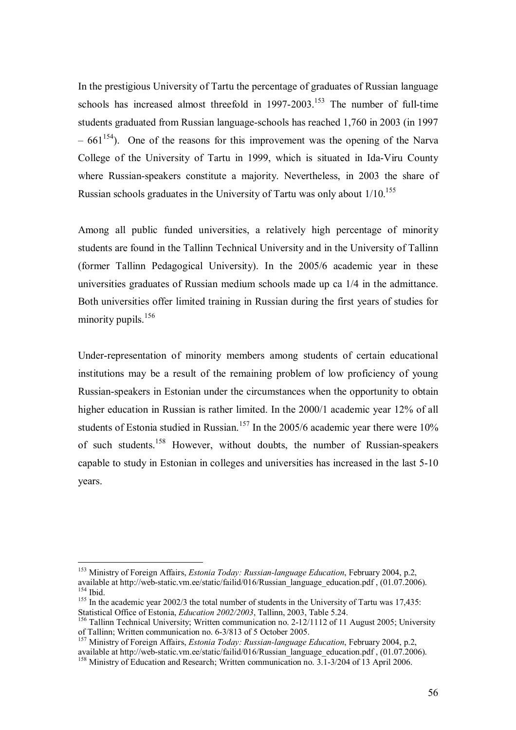In the prestigious University of Tartu the percentage of graduates of Russian language schools has increased almost threefold in  $1997-2003$ <sup>153</sup>. The number of full-time students graduated from Russian language-schools has reached 1,760 in 2003 (in 1997  $-661^{154}$ ). One of the reasons for this improvement was the opening of the Narva College of the University of Tartu in 1999, which is situated in Ida-Viru County where Russian-speakers constitute a majority. Nevertheless, in 2003 the share of Russian schools graduates in the University of Tartu was only about 1/10.<sup>155</sup>

Among all public funded universities, a relatively high percentage of minority students are found in the Tallinn Technical University and in the University of Tallinn (former Tallinn Pedagogical University). In the 2005/6 academic year in these universities graduates of Russian medium schools made up ca 1/4 in the admittance. Both universities offer limited training in Russian during the first years of studies for minority pupils. $156$ 

Under-representation of minority members among students of certain educational institutions may be a result of the remaining problem of low proficiency of young Russian-speakers in Estonian under the circumstances when the opportunity to obtain higher education in Russian is rather limited. In the 2000/1 academic year 12% of all students of Estonia studied in Russian.<sup>157</sup> In the 2005/6 academic year there were  $10\%$ of such students.158 However, without doubts, the number of Russian-speakers capable to study in Estonian in colleges and universities has increased in the last 5-10 years.

<sup>153</sup> Ministry of Foreign Affairs, *Estonia Today: Russian-language Education*, February 2004, p.2, available at http://web-static.vm.ee/static/failid/016/Russian\_language\_education.pdf , (01.07.2006).

<sup>&</sup>lt;sup>155</sup> In the academic year 2002/3 the total number of students in the University of Tartu was 17,435:<br>Statistical Office of Estonia, *Education 2002/2003*, Tallinn, 2003, Table 5.24.

<sup>&</sup>lt;sup>156</sup> Tallinn Technical University; Written communication no. 2-12/1112 of 11 August 2005; University of Tallinn; Written communication no. 6-3/813 of 5 October 2005.

<sup>157</sup> Ministry of Foreign Affairs, *Estonia Today: Russian-language Education*, February 2004, p.2, available at http://web-static.vm.ee/static/failid/016/Russian\_language\_education.pdf , (01.07.2006). <sup>158</sup> Ministry of Education and Research; Written communication no. 3.1-3/204 of 13 April 2006.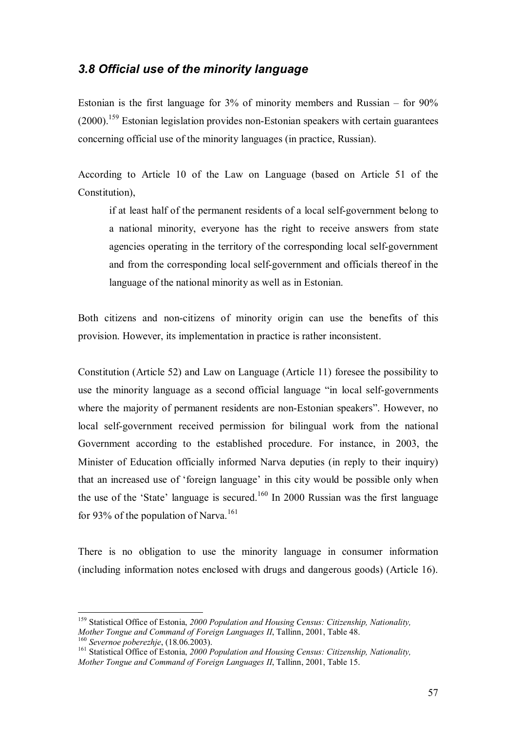### *3.8 Official use of the minority language*

Estonian is the first language for 3% of minority members and Russian – for 90%  $(2000)$ <sup>159</sup> Estonian legislation provides non-Estonian speakers with certain guarantees concerning official use of the minority languages (in practice, Russian).

According to Article 10 of the Law on Language (based on Article 51 of the Constitution),

if at least half of the permanent residents of a local self-government belong to a national minority, everyone has the right to receive answers from state agencies operating in the territory of the corresponding local self-government and from the corresponding local self-government and officials thereof in the language of the national minority as well as in Estonian.

Both citizens and non-citizens of minority origin can use the benefits of this provision. However, its implementation in practice is rather inconsistent.

Constitution (Article 52) and Law on Language (Article 11) foresee the possibility to use the minority language as a second official language "in local self-governments where the majority of permanent residents are non-Estonian speakers". However, no local self-government received permission for bilingual work from the national Government according to the established procedure. For instance, in 2003, the Minister of Education officially informed Narva deputies (in reply to their inquiry) that an increased use of 'foreign language' in this city would be possible only when the use of the 'State' language is secured.<sup>160</sup> In 2000 Russian was the first language for 93% of the population of Narva.<sup>161</sup>

There is no obligation to use the minority language in consumer information (including information notes enclosed with drugs and dangerous goods) (Article 16).

<sup>&</sup>lt;sup>159</sup> Statistical Office of Estonia, 2000 Population and Housing Census: Citizenship, Nationality,<br>Mother Tongue and Command of Foreign Languages II, Tallinn, 2001, Table 48. <sup>160</sup> Severnoe poberezhje, (18.06.2003).<br><sup>161</sup> Statistical Office of Estonia. 2000 Population and Housing Census: Citizenship. Nationality.

*Mother Tongue and Command of Foreign Languages II*, Tallinn, 2001, Table 15.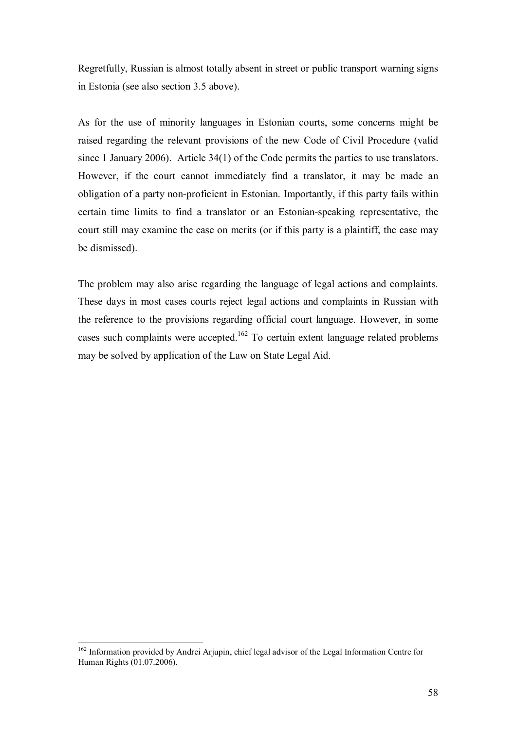Regretfully, Russian is almost totally absent in street or public transport warning signs in Estonia (see also section 3.5 above).

As for the use of minority languages in Estonian courts, some concerns might be raised regarding the relevant provisions of the new Code of Civil Procedure (valid since 1 January 2006). Article 34(1) of the Code permits the parties to use translators. However, if the court cannot immediately find a translator, it may be made an obligation of a party non-proficient in Estonian. Importantly, if this party fails within certain time limits to find a translator or an Estonian-speaking representative, the court still may examine the case on merits (or if this party is a plaintiff, the case may be dismissed).

The problem may also arise regarding the language of legal actions and complaints. These days in most cases courts reject legal actions and complaints in Russian with the reference to the provisions regarding official court language. However, in some cases such complaints were accepted.<sup>162</sup> To certain extent language related problems may be solved by application of the Law on State Legal Aid.

<sup>&</sup>lt;sup>162</sup> Information provided by Andrei Arjupin, chief legal advisor of the Legal Information Centre for Human Rights (01.07.2006).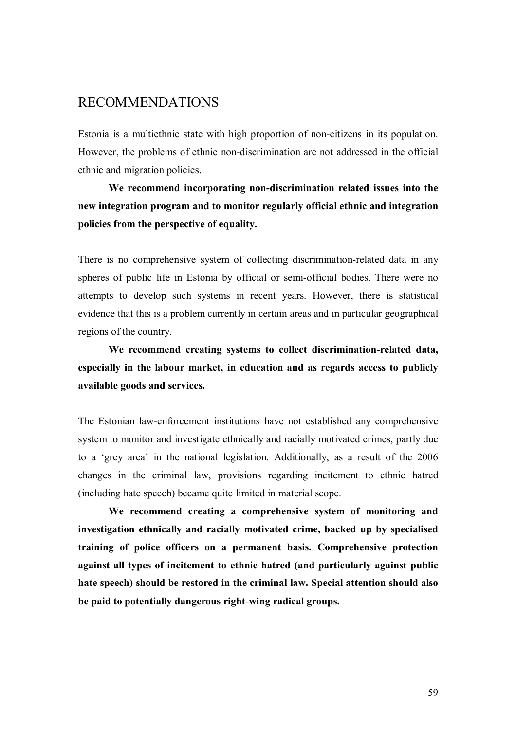## RECOMMENDATIONS

Estonia is a multiethnic state with high proportion of non-citizens in its population. However, the problems of ethnic non-discrimination are not addressed in the official ethnic and migration policies.

**We recommend incorporating non-discrimination related issues into the new integration program and to monitor regularly official ethnic and integration policies from the perspective of equality.** 

There is no comprehensive system of collecting discrimination-related data in any spheres of public life in Estonia by official or semi-official bodies. There were no attempts to develop such systems in recent years. However, there is statistical evidence that this is a problem currently in certain areas and in particular geographical regions of the country.

**We recommend creating systems to collect discrimination-related data, especially in the labour market, in education and as regards access to publicly available goods and services.** 

The Estonian law-enforcement institutions have not established any comprehensive system to monitor and investigate ethnically and racially motivated crimes, partly due to a 'grey area' in the national legislation. Additionally, as a result of the 2006 changes in the criminal law, provisions regarding incitement to ethnic hatred (including hate speech) became quite limited in material scope.

**We recommend creating a comprehensive system of monitoring and investigation ethnically and racially motivated crime, backed up by specialised training of police officers on a permanent basis. Comprehensive protection against all types of incitement to ethnic hatred (and particularly against public hate speech) should be restored in the criminal law. Special attention should also be paid to potentially dangerous right-wing radical groups.**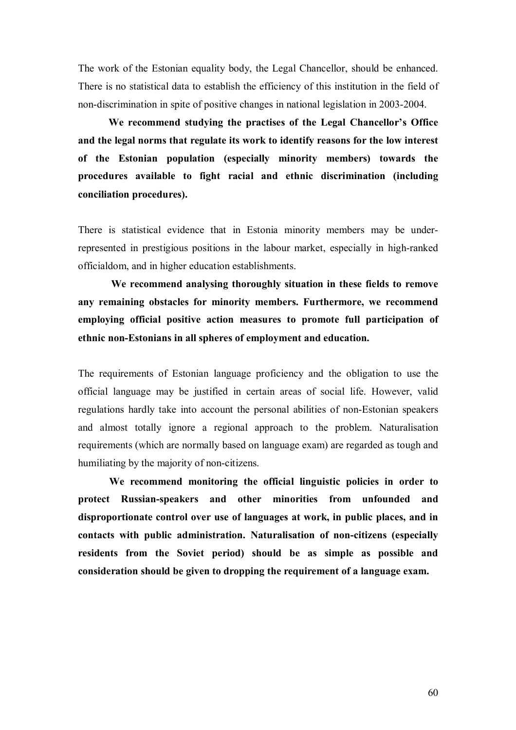The work of the Estonian equality body, the Legal Chancellor, should be enhanced. There is no statistical data to establish the efficiency of this institution in the field of non-discrimination in spite of positive changes in national legislation in 2003-2004.

**We recommend studying the practises of the Legal Chancellor's Office and the legal norms that regulate its work to identify reasons for the low interest of the Estonian population (especially minority members) towards the procedures available to fight racial and ethnic discrimination (including conciliation procedures).** 

There is statistical evidence that in Estonia minority members may be underrepresented in prestigious positions in the labour market, especially in high-ranked officialdom, and in higher education establishments.

**We recommend analysing thoroughly situation in these fields to remove any remaining obstacles for minority members. Furthermore, we recommend employing official positive action measures to promote full participation of ethnic non-Estonians in all spheres of employment and education.** 

The requirements of Estonian language proficiency and the obligation to use the official language may be justified in certain areas of social life. However, valid regulations hardly take into account the personal abilities of non-Estonian speakers and almost totally ignore a regional approach to the problem. Naturalisation requirements (which are normally based on language exam) are regarded as tough and humiliating by the majority of non-citizens.

 **We recommend monitoring the official linguistic policies in order to protect Russian-speakers and other minorities from unfounded and disproportionate control over use of languages at work, in public places, and in contacts with public administration. Naturalisation of non-citizens (especially residents from the Soviet period) should be as simple as possible and consideration should be given to dropping the requirement of a language exam.**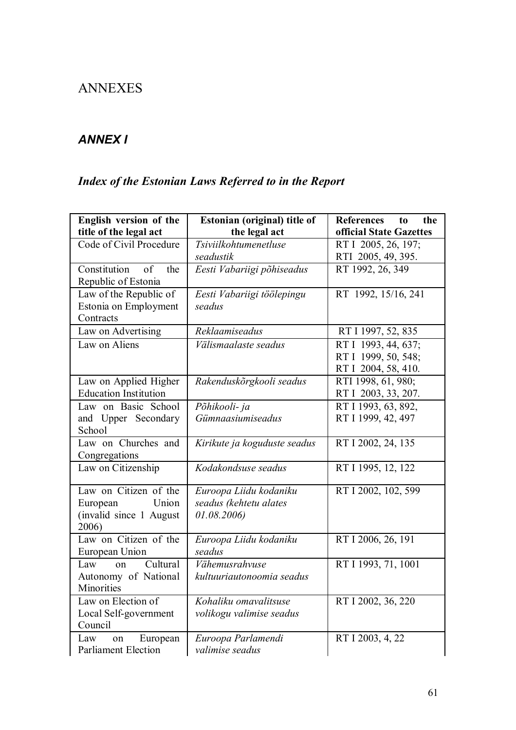# ANNEXES

## *ANNEX I*

# *Index of the Estonian Laws Referred to in the Report*

| English version of the<br>title of the legal act                               | Estonian (original) title of<br>the legal act                  | <b>References</b><br>the<br>to<br>official State Gazettes         |
|--------------------------------------------------------------------------------|----------------------------------------------------------------|-------------------------------------------------------------------|
| Code of Civil Procedure                                                        | Tsiviilkohtumenetluse                                          | RT I 2005, 26, 197;                                               |
|                                                                                | seadustik                                                      | RTI 2005, 49, 395.                                                |
| Constitution of<br>the<br>Republic of Estonia                                  | Eesti Vabariigi põhiseadus                                     | RT 1992, 26, 349                                                  |
| Law of the Republic of<br>Estonia on Employment<br>Contracts                   | Eesti Vabariigi töölepingu<br>seadus                           | RT 1992, 15/16, 241                                               |
| Law on Advertising                                                             | Reklaamiseadus                                                 | RT I 1997, 52, 835                                                |
| Law on Aliens                                                                  | Välismaalaste seadus                                           | RT I 1993, 44, 637;<br>RT I 1999, 50, 548;<br>RT I 2004, 58, 410. |
| Law on Applied Higher<br><b>Education Institution</b>                          | Rakenduskõrgkooli seadus                                       | RTI 1998, 61, 980;<br>RT I 2003, 33, 207.                         |
| Law on Basic School<br>and Upper Secondary<br>School                           | Põhikooli- ja<br>Gümnaasiumiseadus                             | RT I 1993, 63, 892,<br>RT I 1999, 42, 497                         |
| Law on Churches and<br>Congregations                                           | Kirikute ja koguduste seadus                                   | RT I 2002, 24, 135                                                |
| Law on Citizenship                                                             | Kodakondsuse seadus                                            | RT I 1995, 12, 122                                                |
| Law on Citizen of the<br>Union<br>European<br>(invalid since 1 August<br>2006) | Euroopa Liidu kodaniku<br>seadus (kehtetu alates<br>01.08.2006 | RT I 2002, 102, 599                                               |
| Law on Citizen of the<br>European Union                                        | Euroopa Liidu kodaniku<br>seadus                               | RT I 2006, 26, 191                                                |
| Cultural<br>Law<br>$\alpha$<br>Autonomy of National<br>Minorities              | Vähemusrahvuse<br>kultuuriautonoomia seadus                    | RT I 1993, 71, 1001                                               |
| Law on Election of<br>Local Self-government<br>Council                         | Kohaliku omavalitsuse<br>volikogu valimise seadus              | RT I 2002, 36, 220                                                |
| Law<br>European<br>on<br><b>Parliament Election</b>                            | Euroopa Parlamendi<br>valimise seadus                          | RT I 2003, 4, 22                                                  |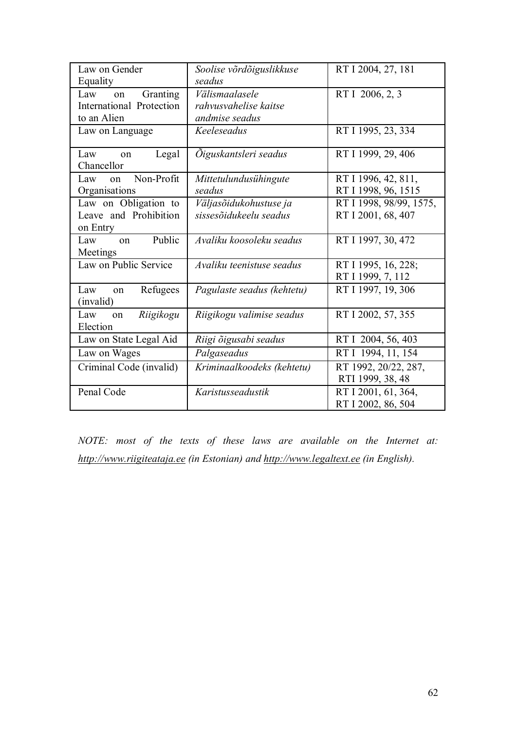| Law on Gender                    | Soolise võrdõiguslikkuse   | RT I 2004, 27, 181      |
|----------------------------------|----------------------------|-------------------------|
| Equality                         | seadus                     |                         |
| Granting<br>Law<br>on            | Välismaalasele             | RT I 2006, 2, 3         |
| International Protection         | rahvusvahelise kaitse      |                         |
| to an Alien                      | andmise seadus             |                         |
| Law on Language                  | Keeleseadus                | RT I 1995, 23, 334      |
| Legal<br>Law<br>on<br>Chancellor | Öiguskantsleri seadus      | RT I 1999, 29, 406      |
| Non-Profit<br>Law<br>$\alpha$ n  | Mittetulundusühingute      | RT I 1996, 42, 811,     |
| Organisations                    | seadus                     | RT I 1998, 96, 1515     |
| Law on Obligation to             | Väljasõidukohustuse ja     | RT I 1998, 98/99, 1575, |
| Leave and Prohibition            | sissesõidukeelu seadus     | RT I 2001, 68, 407      |
| on Entry                         |                            |                         |
| Public<br>Law<br>$\alpha$        | Avaliku koosoleku seadus   | RT I 1997, 30, 472      |
| Meetings                         |                            |                         |
| Law on Public Service            | Avaliku teenistuse seadus  | RT I 1995, 16, 228;     |
|                                  |                            | RT I 1999, 7, 112       |
| Refugees<br>Law<br>on            | Pagulaste seadus (kehtetu) | RT I 1997, 19, 306      |
| (invalid)                        |                            |                         |
| Riigikogu<br>Law<br>on           | Riigikogu valimise seadus  | RT I 2002, 57, 355      |
| Election                         |                            |                         |
| Law on State Legal Aid           | Riigi õigusabi seadus      | RT I 2004, 56, 403      |
| Law on Wages                     | Palgaseadus                | RT I 1994, 11, 154      |
| Criminal Code (invalid)          | Kriminaalkoodeks (kehtetu) | RT 1992, 20/22, 287,    |
|                                  |                            | RTI 1999, 38, 48        |
| Penal Code                       | Karistusseadustik          | RT I 2001, 61, 364,     |
|                                  |                            | RT I 2002, 86, 504      |

*NOTE: most of the texts of these laws are available on the Internet at: http://www.riigiteataja.ee (in Estonian) and http://www.legaltext.ee (in English).*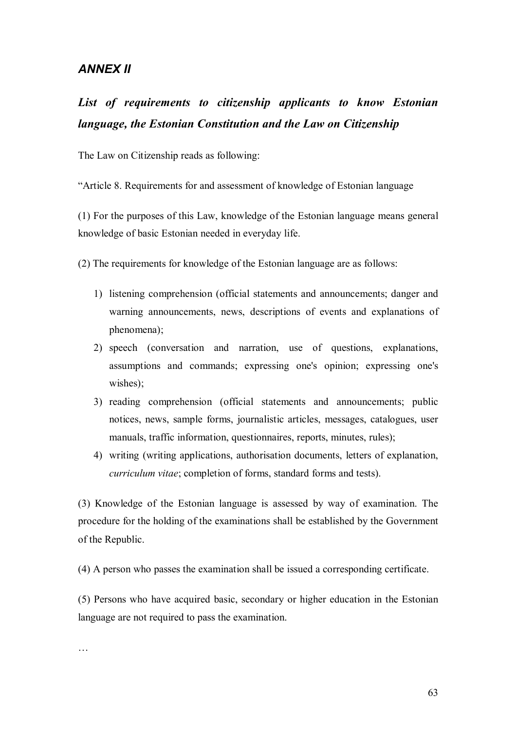### *ANNEX II*

# *List of requirements to citizenship applicants to know Estonian language, the Estonian Constitution and the Law on Citizenship*

The Law on Citizenship reads as following:

"Article 8. Requirements for and assessment of knowledge of Estonian language

(1) For the purposes of this Law, knowledge of the Estonian language means general knowledge of basic Estonian needed in everyday life.

(2) The requirements for knowledge of the Estonian language are as follows:

- 1) listening comprehension (official statements and announcements; danger and warning announcements, news, descriptions of events and explanations of phenomena);
- 2) speech (conversation and narration, use of questions, explanations, assumptions and commands; expressing one's opinion; expressing one's wishes);
- 3) reading comprehension (official statements and announcements; public notices, news, sample forms, journalistic articles, messages, catalogues, user manuals, traffic information, questionnaires, reports, minutes, rules);
- 4) writing (writing applications, authorisation documents, letters of explanation, *curriculum vitae*; completion of forms, standard forms and tests).

(3) Knowledge of the Estonian language is assessed by way of examination. The procedure for the holding of the examinations shall be established by the Government of the Republic.

(4) A person who passes the examination shall be issued a corresponding certificate.

(5) Persons who have acquired basic, secondary or higher education in the Estonian language are not required to pass the examination.

…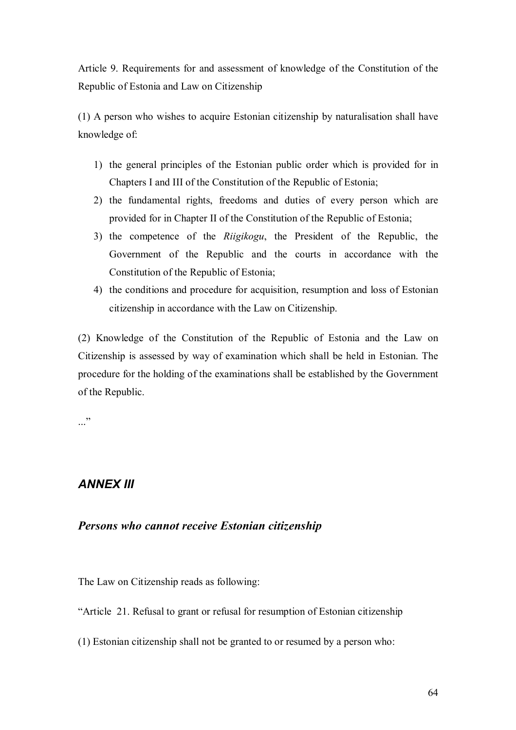Article 9. Requirements for and assessment of knowledge of the Constitution of the Republic of Estonia and Law on Citizenship

(1) A person who wishes to acquire Estonian citizenship by naturalisation shall have knowledge of:

- 1) the general principles of the Estonian public order which is provided for in Chapters I and III of the Constitution of the Republic of Estonia;
- 2) the fundamental rights, freedoms and duties of every person which are provided for in Chapter II of the Constitution of the Republic of Estonia;
- 3) the competence of the *Riigikogu*, the President of the Republic, the Government of the Republic and the courts in accordance with the Constitution of the Republic of Estonia;
- 4) the conditions and procedure for acquisition, resumption and loss of Estonian citizenship in accordance with the Law on Citizenship.

(2) Knowledge of the Constitution of the Republic of Estonia and the Law on Citizenship is assessed by way of examination which shall be held in Estonian. The procedure for the holding of the examinations shall be established by the Government of the Republic.

..."

## *ANNEX III*

### *Persons who cannot receive Estonian citizenship*

The Law on Citizenship reads as following:

"Article 21. Refusal to grant or refusal for resumption of Estonian citizenship

(1) Estonian citizenship shall not be granted to or resumed by a person who: